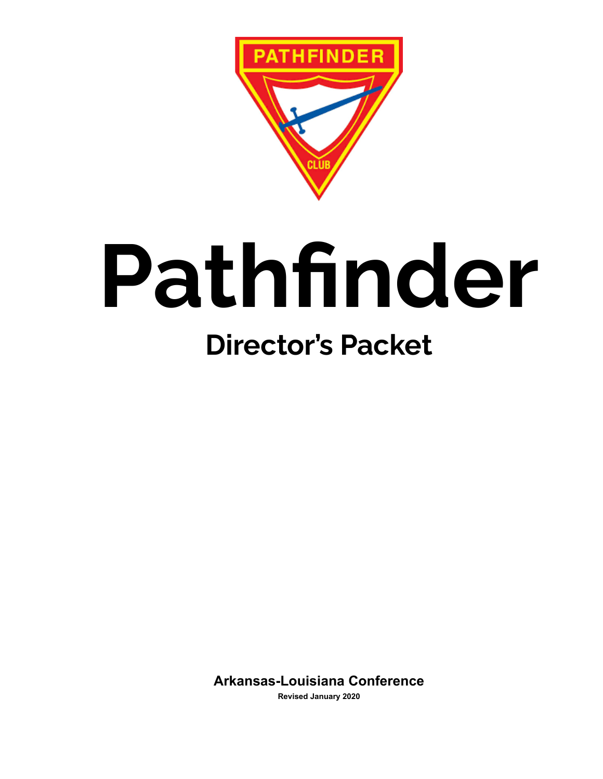

# **Pathfinder Director's Packet**

**Arkansas-Louisiana Conference**

**Revised January 2020**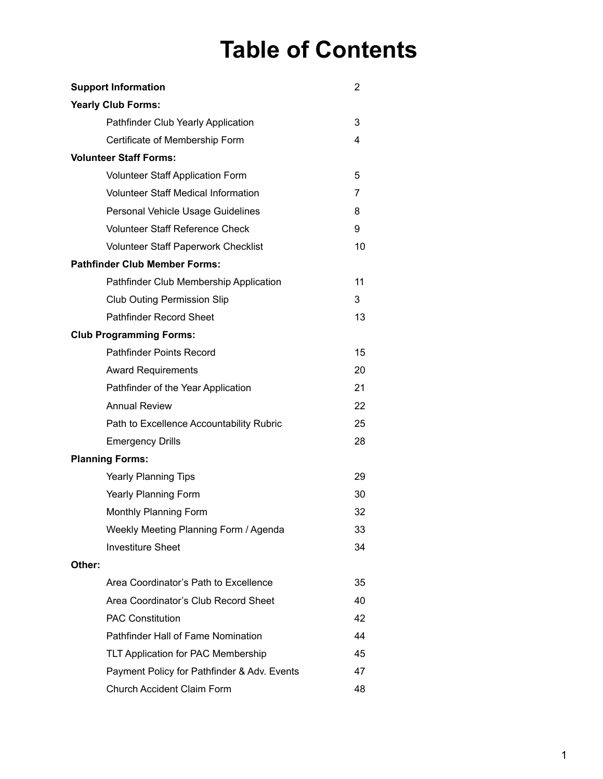### **Table of Contents**

| <b>Support Information</b>                  | 2  |
|---------------------------------------------|----|
| <b>Yearly Club Forms:</b>                   |    |
| Pathfinder Club Yearly Application          | 3  |
| Certificate of Membership Form              | 4  |
| <b>Volunteer Staff Forms:</b>               |    |
| <b>Volunteer Staff Application Form</b>     | 5  |
| <b>Volunteer Staff Medical Information</b>  | 7  |
| Personal Vehicle Usage Guidelines           | 8  |
| <b>Volunteer Staff Reference Check</b>      | 9  |
| <b>Volunteer Staff Paperwork Checklist</b>  | 10 |
| <b>Pathfinder Club Member Forms:</b>        |    |
| Pathfinder Club Membership Application      | 11 |
| <b>Club Outing Permission Slip</b>          | 3  |
| <b>Pathfinder Record Sheet</b>              | 13 |
| <b>Club Programming Forms:</b>              |    |
| <b>Pathfinder Points Record</b>             | 15 |
| <b>Award Requirements</b>                   | 20 |
| Pathfinder of the Year Application          | 21 |
| <b>Annual Review</b>                        | 22 |
| Path to Excellence Accountability Rubric    | 25 |
| <b>Emergency Drills</b>                     | 28 |
| <b>Planning Forms:</b>                      |    |
| <b>Yearly Planning Tips</b>                 | 29 |
| Yearly Planning Form                        | 30 |
| Monthly Planning Form                       | 32 |
| Weekly Meeting Planning Form / Agenda       | 33 |
| <b>Investiture Sheet</b>                    | 34 |
| Other:                                      |    |
| Area Coordinator's Path to Excellence       | 35 |
| Area Coordinator's Club Record Sheet        | 40 |
| <b>PAC Constitution</b>                     | 42 |
| Pathfinder Hall of Fame Nomination          | 44 |
| TLT Application for PAC Membership          | 45 |
| Payment Policy for Pathfinder & Adv. Events | 47 |
| Church Accident Claim Form                  | 48 |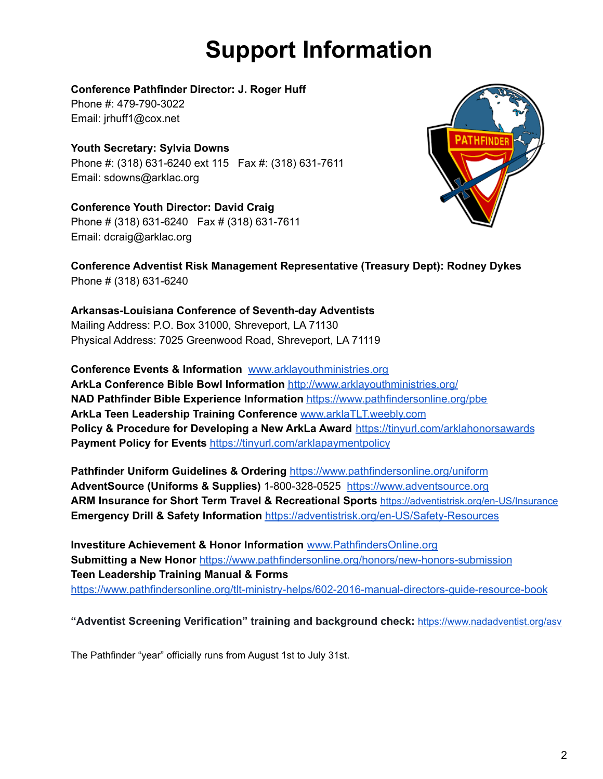# **Support Information**

#### **Conference Pathfinder Director: J. Roger Huff**

Phone #: 479-790-3022 Email: jrhuff1@cox.net

### **Youth Secretary: Sylvia Downs**

Phone #: (318) 631-6240 ext 115 Fax #: (318) 631-7611 Email: sdowns@arklac.org

**Conference Youth Director: David Craig** Phone # (318) 631-6240 Fax # (318) 631-7611 Email: dcraig@arklac.org



**Conference Adventist Risk Management Representative (Treasury Dept): Rodney Dykes** Phone # (318) 631-6240

#### **Arkansas-Louisiana Conference of Seventh-day Adventists** Mailing Address: P.O. Box 31000, Shreveport, LA 71130 Physical Address: 7025 Greenwood Road, Shreveport, LA 71119

**Conference Events & Information** [www.arklayouthministries.org](http://www.arklayouthministries.org) **ArkLa Conference Bible Bowl Information** <http://www.arklayouthministries.org/> **NAD Pathfinder Bible Experience Information** <https://www.pathfindersonline.org/pbe> **ArkLa Teen Leadership Training Conference** [www.arklaTLT.weebly.com](http://www.arklatlt.weebly.com) **Policy & Procedure for Developing a New ArkLa Award** <https://tinyurl.com/arklahonorsawards> **Payment Policy for Events** <https://tinyurl.com/arklapaymentpolicy>

**Pathfinder Uniform Guidelines & Ordering** <https://www.pathfindersonline.org/uniform> **AdventSource (Uniforms & Supplies)** 1-800-328-0525 <https://www.adventsource.org> **ARM Insurance for Short Term Travel & Recreational Sports** <https://adventistrisk.org/en-US/Insurance> **Emergency Drill & Safety Information** <https://adventistrisk.org/en-US/Safety-Resources>

**Investiture Achievement & Honor Information** [www.PathfindersOnline.org](http://www.pathfindersonline.org) **Submitting a New Honor** <https://www.pathfindersonline.org/honors/new-honors-submission> **Teen Leadership Training Manual & Forms** <https://www.pathfindersonline.org/tlt-ministry-helps/602-2016-manual-directors-guide-resource-book>

#### **"Adventist Screening Verification" training and background check:** <https://www.nadadventist.org/asv>

The Pathfinder "year" officially runs from August 1st to July 31st.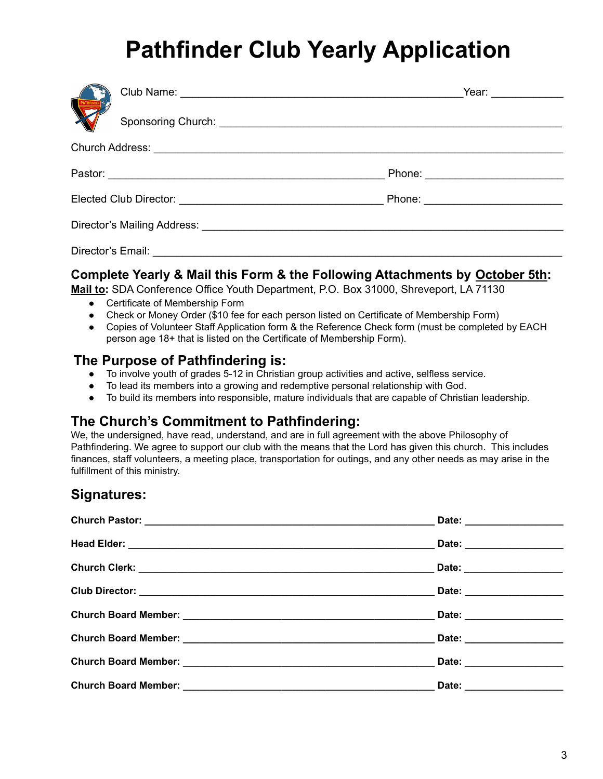# **Pathfinder Club Yearly Application**

|  |                                     |                                                                                                                                                                                                                                | Year: 2008                     |
|--|-------------------------------------|--------------------------------------------------------------------------------------------------------------------------------------------------------------------------------------------------------------------------------|--------------------------------|
|  |                                     |                                                                                                                                                                                                                                |                                |
|  |                                     |                                                                                                                                                                                                                                |                                |
|  |                                     |                                                                                                                                                                                                                                | Phone: _______________________ |
|  |                                     |                                                                                                                                                                                                                                |                                |
|  |                                     | Director's Mailing Address: National Accounts and Accounts and Accounts and Accounts and Accounts and Accounts and Accounts and Accounts and Accounts and Accounts and Accounts and Accounts and Accounts and Accounts and Acc |                                |
|  | Director's Email: <b>Director's</b> |                                                                                                                                                                                                                                |                                |

#### **Complete Yearly & Mail this Form & the Following Attachments by October 5th:**

**Mail to:** SDA Conference Office Youth Department, P.O. Box 31000, Shreveport, LA 71130

- Certificate of Membership Form
- Check or Money Order (\$10 fee for each person listed on Certificate of Membership Form)
- Copies of Volunteer Staff Application form & the Reference Check form (must be completed by EACH person age 18+ that is listed on the Certificate of Membership Form).

#### **The Purpose of Pathfindering is:**

- To involve youth of grades 5-12 in Christian group activities and active, selfless service.
- To lead its members into a growing and redemptive personal relationship with God.
- To build its members into responsible, mature individuals that are capable of Christian leadership.

#### **The Church's Commitment to Pathfindering:**

We, the undersigned, have read, understand, and are in full agreement with the above Philosophy of Pathfindering. We agree to support our club with the means that the Lord has given this church. This includes finances, staff volunteers, a meeting place, transportation for outings, and any other needs as may arise in the fulfillment of this ministry.

#### **Signatures:**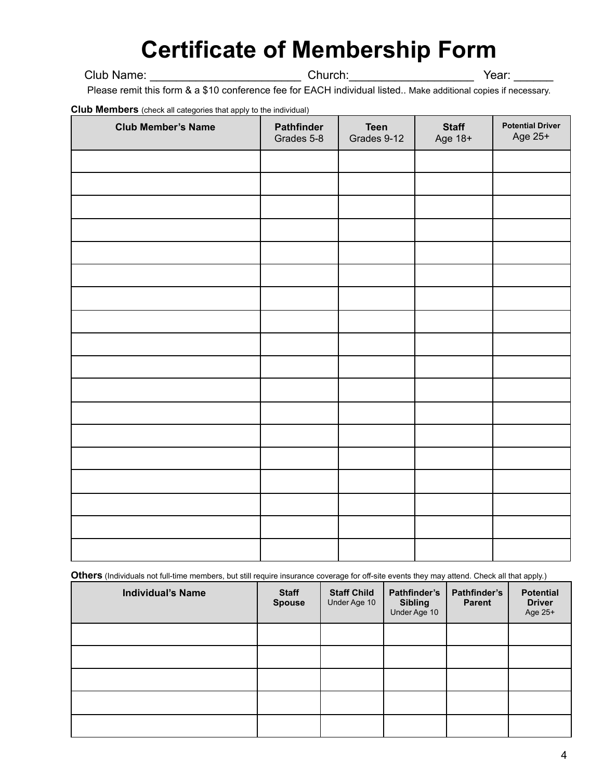### **Certificate of Membership Form**

#### Club Name: \_\_\_\_\_\_\_\_\_\_\_\_\_\_\_\_\_\_\_\_\_\_\_\_\_\_\_\_\_\_Church: \_\_\_\_\_\_\_\_\_\_\_\_\_\_\_\_\_\_\_\_\_\_\_\_\_\_\_\_\_\_\_Year: \_

Please remit this form & a \$10 conference fee for EACH individual listed.. Make additional copies if necessary.

**Club Members** (check all categories that apply to the individual)

| <b>The Morrison</b> (chock an eacgoned that apply to the marriagal)<br><b>Club Member's Name</b> | Pathfinder<br>Grades 5-8 | <b>Teen</b><br>Grades 9-12 | <b>Staff</b><br>Age 18+ | <b>Potential Driver</b><br>Age 25+ |
|--------------------------------------------------------------------------------------------------|--------------------------|----------------------------|-------------------------|------------------------------------|
|                                                                                                  |                          |                            |                         |                                    |
|                                                                                                  |                          |                            |                         |                                    |
|                                                                                                  |                          |                            |                         |                                    |
|                                                                                                  |                          |                            |                         |                                    |
|                                                                                                  |                          |                            |                         |                                    |
|                                                                                                  |                          |                            |                         |                                    |
|                                                                                                  |                          |                            |                         |                                    |
|                                                                                                  |                          |                            |                         |                                    |
|                                                                                                  |                          |                            |                         |                                    |
|                                                                                                  |                          |                            |                         |                                    |
|                                                                                                  |                          |                            |                         |                                    |
|                                                                                                  |                          |                            |                         |                                    |
|                                                                                                  |                          |                            |                         |                                    |
|                                                                                                  |                          |                            |                         |                                    |
|                                                                                                  |                          |                            |                         |                                    |
|                                                                                                  |                          |                            |                         |                                    |
|                                                                                                  |                          |                            |                         |                                    |
|                                                                                                  |                          |                            |                         |                                    |

**Others** (Individuals not full-time members, but still require insurance coverage for off-site events they may attend. Check all that apply.)

| <b>Individual's Name</b> | <b>Staff</b><br><b>Spouse</b> | <b>Staff Child</b><br>Under Age 10 | Pathfinder's<br><b>Sibling</b><br>Under Age 10 | Pathfinder's<br><b>Parent</b> | <b>Potential</b><br><b>Driver</b><br>Age 25+ |
|--------------------------|-------------------------------|------------------------------------|------------------------------------------------|-------------------------------|----------------------------------------------|
|                          |                               |                                    |                                                |                               |                                              |
|                          |                               |                                    |                                                |                               |                                              |
|                          |                               |                                    |                                                |                               |                                              |
|                          |                               |                                    |                                                |                               |                                              |
|                          |                               |                                    |                                                |                               |                                              |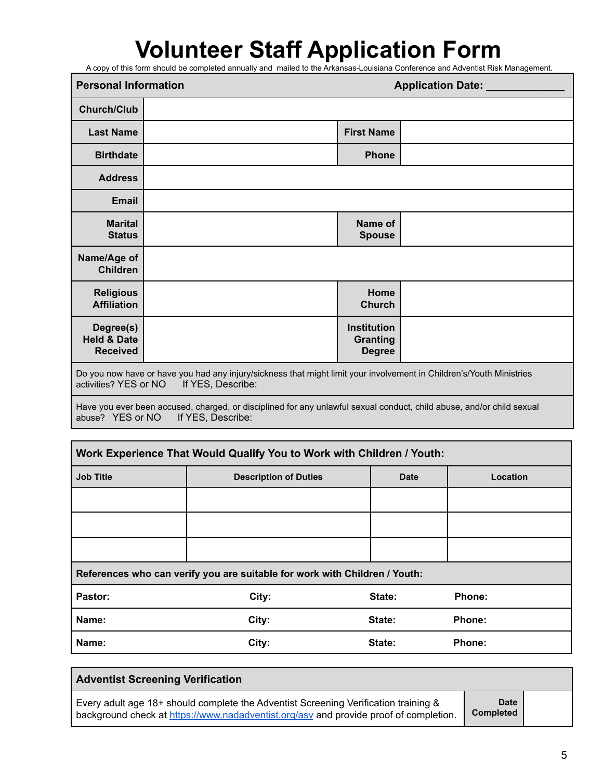# **Volunteer Staff Application Form**

A copy of this form should be completed annually and mailed to the Arkansas-Louisiana Conference and Adventist Risk Management.

|                                                                                                                                                                    | <b>Personal Information</b><br><b>Application Date:</b> |                                                 |  |
|--------------------------------------------------------------------------------------------------------------------------------------------------------------------|---------------------------------------------------------|-------------------------------------------------|--|
| <b>Church/Club</b>                                                                                                                                                 |                                                         |                                                 |  |
| <b>Last Name</b>                                                                                                                                                   |                                                         | <b>First Name</b>                               |  |
| <b>Birthdate</b>                                                                                                                                                   |                                                         | <b>Phone</b>                                    |  |
| <b>Address</b>                                                                                                                                                     |                                                         |                                                 |  |
| <b>Email</b>                                                                                                                                                       |                                                         |                                                 |  |
| <b>Marital</b><br><b>Status</b>                                                                                                                                    |                                                         | Name of<br><b>Spouse</b>                        |  |
| Name/Age of<br><b>Children</b>                                                                                                                                     |                                                         |                                                 |  |
| <b>Religious</b><br><b>Affiliation</b>                                                                                                                             |                                                         | Home<br><b>Church</b>                           |  |
| Degree(s)<br><b>Held &amp; Date</b><br><b>Received</b>                                                                                                             |                                                         | <b>Institution</b><br>Granting<br><b>Degree</b> |  |
| Do you now have or have you had any injury/sickness that might limit your involvement in Children's/Youth Ministries<br>activities? YES or NO<br>If YES, Describe: |                                                         |                                                 |  |

Have you ever been accused, charged, or disciplined for any unlawful sexual conduct, child abuse, and/or child sexual abuse?<br>abuse? YES or NO If YES, Describe: abuse? YES or NO

| Work Experience That Would Qualify You to Work with Children / Youth: |                                                                            |        |               |  |  |
|-----------------------------------------------------------------------|----------------------------------------------------------------------------|--------|---------------|--|--|
| <b>Job Title</b>                                                      | <b>Description of Duties</b><br><b>Date</b>                                |        | Location      |  |  |
|                                                                       |                                                                            |        |               |  |  |
|                                                                       |                                                                            |        |               |  |  |
|                                                                       |                                                                            |        |               |  |  |
|                                                                       | References who can verify you are suitable for work with Children / Youth: |        |               |  |  |
| Pastor:                                                               | City:                                                                      | State: | Phone:        |  |  |
| Name:                                                                 | City:                                                                      | State: | <b>Phone:</b> |  |  |
| Name:                                                                 | City:                                                                      | State: | Phone:        |  |  |

| <b>Adventist Screening Verification</b>                                                                                                                                      |                                 |  |
|------------------------------------------------------------------------------------------------------------------------------------------------------------------------------|---------------------------------|--|
| Every adult age 18+ should complete the Adventist Screening Verification training &<br>background check at https://www.nadadventist.org/asv and provide proof of completion. | <b>Date</b><br><b>Completed</b> |  |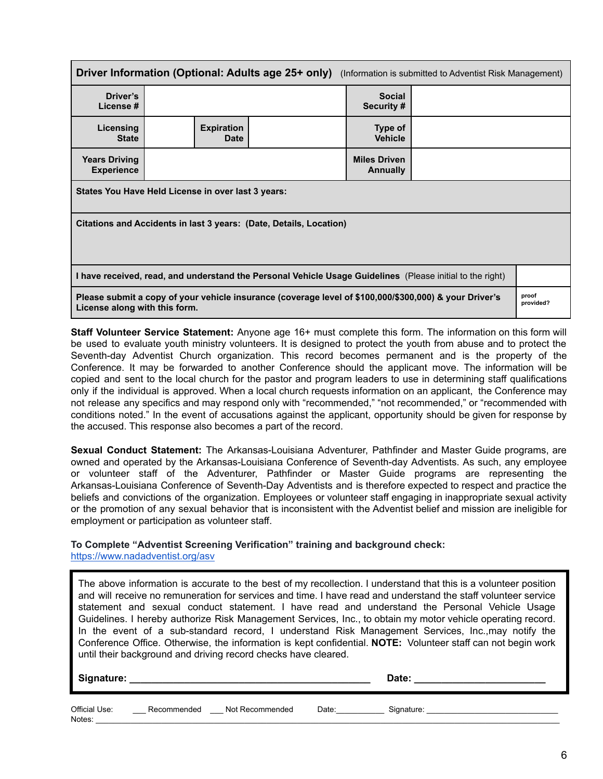| <b>Driver Information (Optional: Adults age 25+ only)</b> (Information is submitted to Adventist Risk Management)                       |                                  |  |                             |                    |  |
|-----------------------------------------------------------------------------------------------------------------------------------------|----------------------------------|--|-----------------------------|--------------------|--|
| Driver's<br>License #                                                                                                                   |                                  |  | <b>Social</b><br>Security # |                    |  |
| Licensing<br><b>State</b>                                                                                                               | <b>Expiration</b><br><b>Date</b> |  | Type of<br><b>Vehicle</b>   |                    |  |
| <b>Miles Driven</b><br><b>Years Driving</b><br><b>Experience</b><br><b>Annually</b>                                                     |                                  |  |                             |                    |  |
| States You Have Held License in over last 3 years:                                                                                      |                                  |  |                             |                    |  |
| Citations and Accidents in last 3 years: (Date, Details, Location)                                                                      |                                  |  |                             |                    |  |
| I have received, read, and understand the Personal Vehicle Usage Guidelines (Please initial to the right)                               |                                  |  |                             |                    |  |
| Please submit a copy of your vehicle insurance (coverage level of \$100,000/\$300,000) & your Driver's<br>License along with this form. |                                  |  |                             | proof<br>provided? |  |

**Staff Volunteer Service Statement:** Anyone age 16+ must complete this form. The information on this form will be used to evaluate youth ministry volunteers. It is designed to protect the youth from abuse and to protect the Seventh-day Adventist Church organization. This record becomes permanent and is the property of the Conference. It may be forwarded to another Conference should the applicant move. The information will be copied and sent to the local church for the pastor and program leaders to use in determining staff qualifications only if the individual is approved. When a local church requests information on an applicant, the Conference may not release any specifics and may respond only with "recommended," "not recommended," or "recommended with conditions noted." In the event of accusations against the applicant, opportunity should be given for response by the accused. This response also becomes a part of the record.

**Sexual Conduct Statement:** The Arkansas-Louisiana Adventurer, Pathfinder and Master Guide programs, are owned and operated by the Arkansas-Louisiana Conference of Seventh-day Adventists. As such, any employee or volunteer staff of the Adventurer, Pathfinder or Master Guide programs are representing the Arkansas-Louisiana Conference of Seventh-Day Adventists and is therefore expected to respect and practice the beliefs and convictions of the organization. Employees or volunteer staff engaging in inappropriate sexual activity or the promotion of any sexual behavior that is inconsistent with the Adventist belief and mission are ineligible for employment or participation as volunteer staff.

#### **To Complete "Adventist Screening Verification" training and background check:**

<https://www.nadadventist.org/asv>

The above information is accurate to the best of my recollection. I understand that this is a volunteer position and will receive no remuneration for services and time. I have read and understand the staff volunteer service statement and sexual conduct statement. I have read and understand the Personal Vehicle Usage Guidelines. I hereby authorize Risk Management Services, Inc., to obtain my motor vehicle operating record. In the event of a sub-standard record, I understand Risk Management Services, Inc.,may notify the Conference Office. Otherwise, the information is kept confidential. **NOTE:** Volunteer staff can not begin work until their background and driving record checks have cleared.

**Signature: \_\_\_\_\_\_\_\_\_\_\_\_\_\_\_\_\_\_\_\_\_\_\_\_\_\_\_\_\_\_\_\_\_\_\_\_\_\_\_\_\_\_\_\_ Date: \_\_\_\_\_\_\_\_\_\_\_\_\_\_\_\_\_\_\_\_\_\_\_\_** Official Use: \_\_\_\_\_\_\_\_ Recommended d Not Recommended Date: Cignature: Notes: \_\_\_\_\_\_\_\_\_\_\_\_\_\_\_\_\_\_\_\_\_\_\_\_\_\_\_\_\_\_\_\_\_\_\_\_\_\_\_\_\_\_\_\_\_\_\_\_\_\_\_\_\_\_\_\_\_\_\_\_\_\_\_\_\_\_\_\_\_\_\_\_\_\_\_\_\_\_\_\_\_\_\_\_\_\_\_\_\_\_\_\_\_\_\_\_\_\_\_\_\_\_\_\_\_\_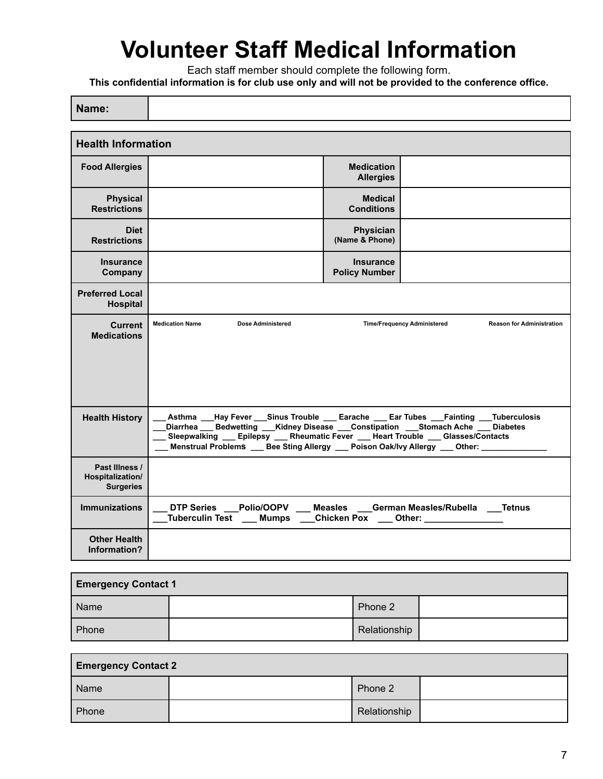### **Volunteer Staff Medical Information**

Each staff member should complete the following form.

**This confidential information is for club use only and will not be provided to the conference office.**

 $\Box$ 

ℸ

| Name:                                                  |                                                                                                                                                                                                                                                                                                                                                                  |                                          |                                                   |                                  |  |
|--------------------------------------------------------|------------------------------------------------------------------------------------------------------------------------------------------------------------------------------------------------------------------------------------------------------------------------------------------------------------------------------------------------------------------|------------------------------------------|---------------------------------------------------|----------------------------------|--|
| <b>Health Information</b>                              |                                                                                                                                                                                                                                                                                                                                                                  |                                          |                                                   |                                  |  |
|                                                        |                                                                                                                                                                                                                                                                                                                                                                  |                                          |                                                   |                                  |  |
| <b>Food Allergies</b>                                  |                                                                                                                                                                                                                                                                                                                                                                  | <b>Medication</b><br><b>Allergies</b>    |                                                   |                                  |  |
| <b>Physical</b><br><b>Restrictions</b>                 |                                                                                                                                                                                                                                                                                                                                                                  | <b>Medical</b><br><b>Conditions</b>      |                                                   |                                  |  |
| <b>Diet</b><br><b>Restrictions</b>                     |                                                                                                                                                                                                                                                                                                                                                                  | Physician<br>(Name & Phone)              |                                                   |                                  |  |
| <b>Insurance</b><br>Company                            |                                                                                                                                                                                                                                                                                                                                                                  | <b>Insurance</b><br><b>Policy Number</b> |                                                   |                                  |  |
| <b>Preferred Local</b><br>Hospital                     |                                                                                                                                                                                                                                                                                                                                                                  |                                          |                                                   |                                  |  |
| <b>Current</b><br><b>Medications</b>                   | <b>Dose Administered</b><br><b>Medication Name</b>                                                                                                                                                                                                                                                                                                               |                                          | <b>Time/Frequency Administered</b>                | <b>Reason for Administration</b> |  |
| <b>Health History</b>                                  | Asthma __Hay Fever __Sinus Trouble ___ Earache ___ Ear Tubes ___Fainting ___Tuberculosis<br>Diarrhea ___ Bedwetting ___Kidney Disease ___Constipation ___Stomach Ache ___ Diabetes<br>Sleepwalking __ Epilepsy __ Rheumatic Fever __ Heart Trouble __ Glasses/Contacts<br>Menstrual Problems ___ Bee Sting Allergy ___ Poison Oak/Ivy Allergy ___ Other: _______ |                                          |                                                   |                                  |  |
| Past Illness /<br>Hospitalization/<br><b>Surgeries</b> |                                                                                                                                                                                                                                                                                                                                                                  |                                          |                                                   |                                  |  |
| <b>Immunizations</b>                                   | <b>DTP Series</b><br><b>Polio/OOPV</b><br><b>Tuberculin Test</b><br><b>Mumps</b>                                                                                                                                                                                                                                                                                 | <b>Measles</b><br><b>Chicken Pox</b>     | German Measles/Rubella<br>Other: ________________ | <b>Tetnus</b>                    |  |
| <b>Other Health</b><br>Information?                    |                                                                                                                                                                                                                                                                                                                                                                  |                                          |                                                   |                                  |  |

| <b>Emergency Contact 1</b> |  |              |  |  |
|----------------------------|--|--------------|--|--|
| Name                       |  | Phone 2      |  |  |
| Phone                      |  | Relationship |  |  |

| <b>Emergency Contact 2</b> |  |              |  |  |
|----------------------------|--|--------------|--|--|
| Name                       |  | Phone 2      |  |  |
| Phone                      |  | Relationship |  |  |

٦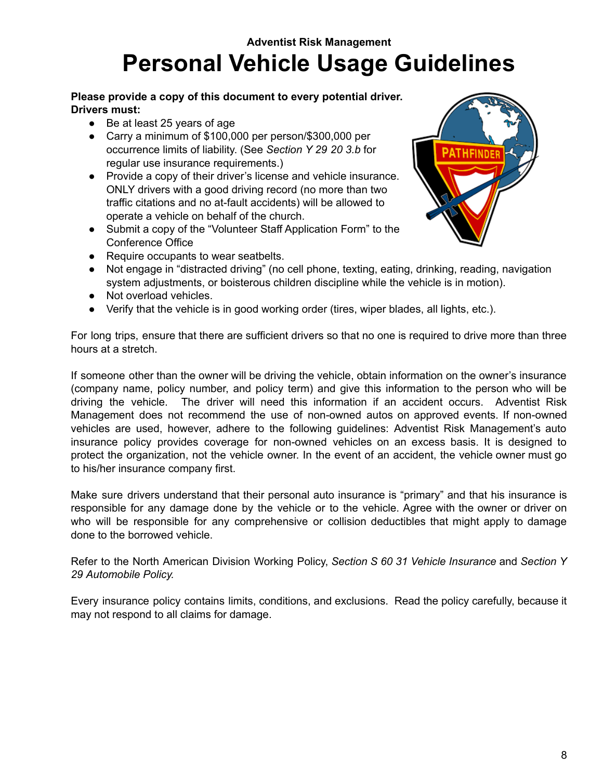### **Adventist Risk Management Personal Vehicle Usage Guidelines**

#### **Please provide a copy of this document to every potential driver. Drivers must:**

- Be at least 25 years of age
- Carry a minimum of \$100,000 per person/\$300,000 per occurrence limits of liability. (See *Section Y 29 20 3.b* for regular use insurance requirements.)
- Provide a copy of their driver's license and vehicle insurance. ONLY drivers with a good driving record (no more than two traffic citations and no at-fault accidents) will be allowed to operate a vehicle on behalf of the church.
- Submit a copy of the "Volunteer Staff Application Form" to the Conference Office



- Require occupants to wear seatbelts.
- Not engage in "distracted driving" (no cell phone, texting, eating, drinking, reading, navigation system adjustments, or boisterous children discipline while the vehicle is in motion).
- Not overload vehicles.
- Verify that the vehicle is in good working order (tires, wiper blades, all lights, etc.).

For long trips, ensure that there are sufficient drivers so that no one is required to drive more than three hours at a stretch.

If someone other than the owner will be driving the vehicle, obtain information on the owner's insurance (company name, policy number, and policy term) and give this information to the person who will be driving the vehicle. The driver will need this information if an accident occurs. Adventist Risk Management does not recommend the use of non-owned autos on approved events. If non-owned vehicles are used, however, adhere to the following guidelines: Adventist Risk Management's auto insurance policy provides coverage for non-owned vehicles on an excess basis. It is designed to protect the organization, not the vehicle owner. In the event of an accident, the vehicle owner must go to his/her insurance company first.

Make sure drivers understand that their personal auto insurance is "primary" and that his insurance is responsible for any damage done by the vehicle or to the vehicle. Agree with the owner or driver on who will be responsible for any comprehensive or collision deductibles that might apply to damage done to the borrowed vehicle.

Refer to the North American Division Working Policy, *Section S 60 31 Vehicle Insurance* and *Section Y 29 Automobile Policy.*

Every insurance policy contains limits, conditions, and exclusions. Read the policy carefully, because it may not respond to all claims for damage.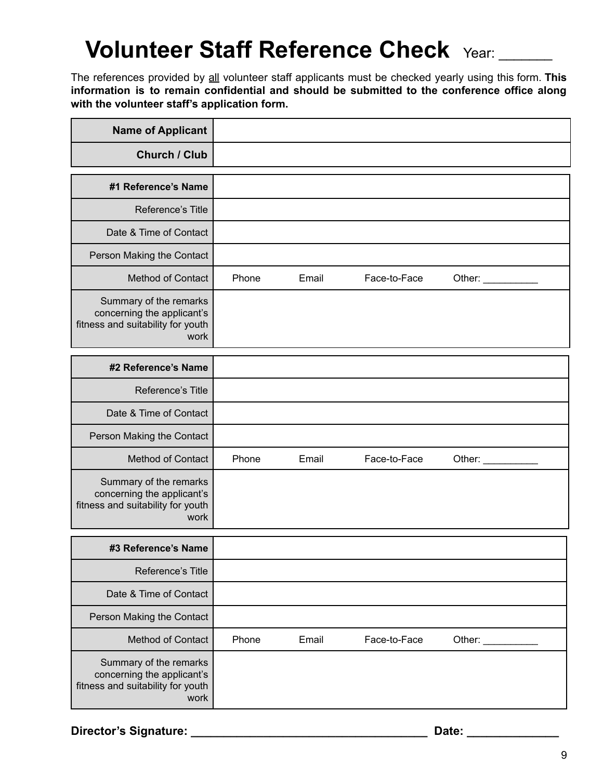### **Volunteer Staff Reference Check** Year: \_\_\_\_\_\_\_

The references provided by all volunteer staff applicants must be checked yearly using this form. **This information is to remain confidential and should be submitted to the conference office along with the volunteer staff's application form.**

| <b>Name of Applicant</b>                                                                          |       |       |              |                                        |
|---------------------------------------------------------------------------------------------------|-------|-------|--------------|----------------------------------------|
| Church / Club                                                                                     |       |       |              |                                        |
| #1 Reference's Name                                                                               |       |       |              |                                        |
| Reference's Title                                                                                 |       |       |              |                                        |
| Date & Time of Contact                                                                            |       |       |              |                                        |
| Person Making the Contact                                                                         |       |       |              |                                        |
| <b>Method of Contact</b>                                                                          | Phone | Email | Face-to-Face | Other:                                 |
| Summary of the remarks<br>concerning the applicant's<br>fitness and suitability for youth<br>work |       |       |              |                                        |
| #2 Reference's Name                                                                               |       |       |              |                                        |
| Reference's Title                                                                                 |       |       |              |                                        |
| Date & Time of Contact                                                                            |       |       |              |                                        |
| Person Making the Contact                                                                         |       |       |              |                                        |
| <b>Method of Contact</b>                                                                          | Phone | Email | Face-to-Face | Other: $\sqrt{\frac{2}{1-\frac{1}{2}}$ |
| Summary of the remarks<br>concerning the applicant's<br>fitness and suitability for youth<br>work |       |       |              |                                        |
| #3 Reference's Name                                                                               |       |       |              |                                        |
| Reference's Title                                                                                 |       |       |              |                                        |
| Date & Time of Contact                                                                            |       |       |              |                                        |
| Person Making the Contact                                                                         |       |       |              |                                        |
| <b>Method of Contact</b>                                                                          | Phone | Email | Face-to-Face | Other: $\overline{\phantom{a}}$        |
| Summary of the remarks<br>concerning the applicant's<br>fitness and suitability for youth<br>work |       |       |              |                                        |

**Director's Signature: \_\_\_\_\_\_\_\_\_\_\_\_\_\_\_\_\_\_\_\_\_\_\_\_\_\_\_\_\_\_\_\_\_\_\_\_ Date: \_\_\_\_\_\_\_\_\_\_\_\_\_\_**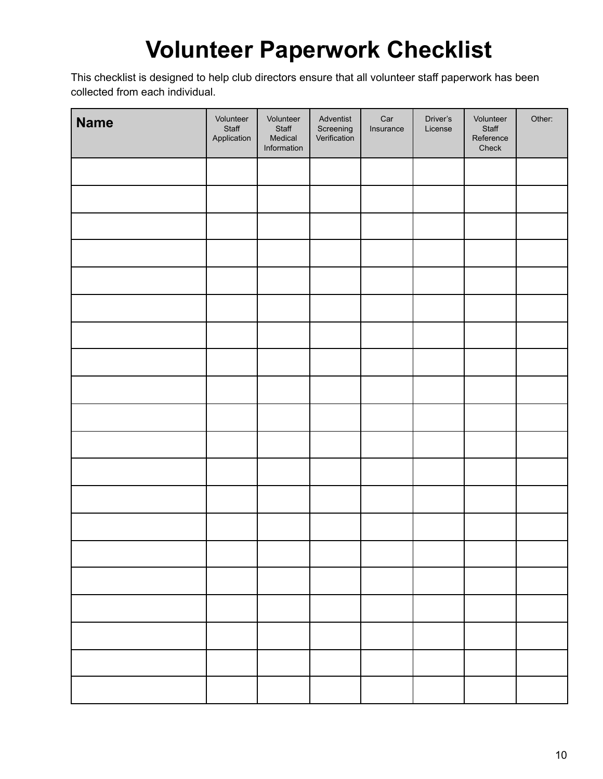### **Volunteer Paperwork Checklist**

This checklist is designed to help club directors ensure that all volunteer staff paperwork has been collected from each individual.

| <b>Name</b> | Volunteer<br>Staff<br>Application | Volunteer<br>Staff<br>Medical<br>Information | Adventist<br>Screening<br>Verification | Car<br>Insurance | Driver's<br>License | Volunteer<br>Staff<br>Reference<br>Check | Other: |
|-------------|-----------------------------------|----------------------------------------------|----------------------------------------|------------------|---------------------|------------------------------------------|--------|
|             |                                   |                                              |                                        |                  |                     |                                          |        |
|             |                                   |                                              |                                        |                  |                     |                                          |        |
|             |                                   |                                              |                                        |                  |                     |                                          |        |
|             |                                   |                                              |                                        |                  |                     |                                          |        |
|             |                                   |                                              |                                        |                  |                     |                                          |        |
|             |                                   |                                              |                                        |                  |                     |                                          |        |
|             |                                   |                                              |                                        |                  |                     |                                          |        |
|             |                                   |                                              |                                        |                  |                     |                                          |        |
|             |                                   |                                              |                                        |                  |                     |                                          |        |
|             |                                   |                                              |                                        |                  |                     |                                          |        |
|             |                                   |                                              |                                        |                  |                     |                                          |        |
|             |                                   |                                              |                                        |                  |                     |                                          |        |
|             |                                   |                                              |                                        |                  |                     |                                          |        |
|             |                                   |                                              |                                        |                  |                     |                                          |        |
|             |                                   |                                              |                                        |                  |                     |                                          |        |
|             |                                   |                                              |                                        |                  |                     |                                          |        |
|             |                                   |                                              |                                        |                  |                     |                                          |        |
|             |                                   |                                              |                                        |                  |                     |                                          |        |
|             |                                   |                                              |                                        |                  |                     |                                          |        |
|             |                                   |                                              |                                        |                  |                     |                                          |        |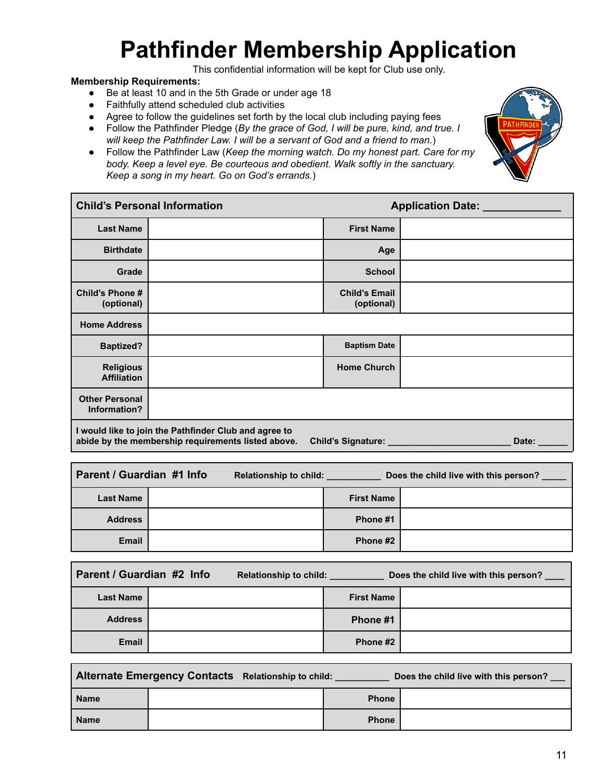# **Pathfinder Membership Application**

This confidential information will be kept for Club use only.

#### **Membership Requirements:**

- Be at least 10 and in the 5th Grade or under age 18
- Faithfully attend scheduled club activities
- Agree to follow the guidelines set forth by the local club including paying fees
- Follow the Pathfinder Pledge (*By the grace of God, I will be pure, kind, and true. I will keep the Pathfinder Law. I will be a servant of God and a friend to man.*)
- Follow the Pathfinder Law (*Keep the morning watch. Do my honest part. Care for my body. Keep a level eye. Be courteous and obedient. Walk softly in the sanctuary. Keep a song in my heart. Go on God's errands.*)



|                                        | <b>Child's Personal Information</b>                                                                         |                                    | <b>Application Date:</b> |
|----------------------------------------|-------------------------------------------------------------------------------------------------------------|------------------------------------|--------------------------|
| <b>Last Name</b>                       |                                                                                                             | <b>First Name</b>                  |                          |
| <b>Birthdate</b>                       |                                                                                                             | Age                                |                          |
| Grade                                  |                                                                                                             | <b>School</b>                      |                          |
| Child's Phone #<br>(optional)          |                                                                                                             | <b>Child's Email</b><br>(optional) |                          |
| <b>Home Address</b>                    |                                                                                                             |                                    |                          |
| <b>Baptized?</b>                       |                                                                                                             | <b>Baptism Date</b>                |                          |
| <b>Religious</b><br><b>Affiliation</b> |                                                                                                             | <b>Home Church</b>                 |                          |
| <b>Other Personal</b><br>Information?  |                                                                                                             |                                    |                          |
|                                        | I would like to join the Pathfinder Club and agree to<br>abide by the membership requirements listed above. | <b>Child's Signature:</b>          | Date:                    |

| Parent / Guardian #1 Info |  | Relationship to child: |                   | Does the child live with this person? |  |  |
|---------------------------|--|------------------------|-------------------|---------------------------------------|--|--|
| <b>Last Name</b>          |  |                        | <b>First Name</b> |                                       |  |  |
| <b>Address</b>            |  |                        | Phone #1          |                                       |  |  |
| <b>Email</b>              |  |                        | Phone #2          |                                       |  |  |

| Parent / Guardian #2 Info | Relationship to child: |                   | Does the child live with this person? |
|---------------------------|------------------------|-------------------|---------------------------------------|
| <b>Last Name</b>          |                        | <b>First Name</b> |                                       |
| <b>Address</b>            |                        | Phone #1          |                                       |
| <b>Email</b>              |                        | Phone #2          |                                       |

|             | Alternate Emergency Contacts Relationship to child: |              | Does the child live with this person? |
|-------------|-----------------------------------------------------|--------------|---------------------------------------|
| <b>Name</b> |                                                     | <b>Phone</b> |                                       |
| <b>Name</b> |                                                     | <b>Phone</b> |                                       |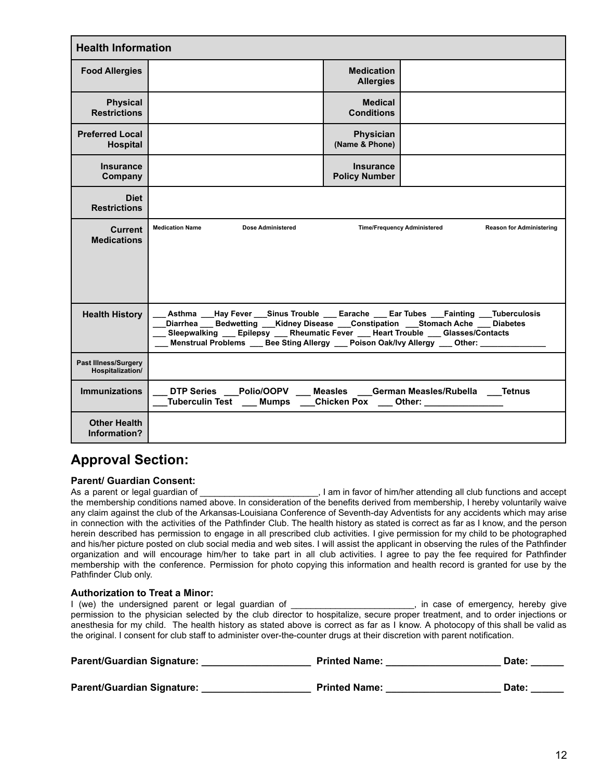| <b>Health Information</b>                       |                                                                                                                                                                                                                                                                                                                                                           |                                          |                                                                                       |                                 |
|-------------------------------------------------|-----------------------------------------------------------------------------------------------------------------------------------------------------------------------------------------------------------------------------------------------------------------------------------------------------------------------------------------------------------|------------------------------------------|---------------------------------------------------------------------------------------|---------------------------------|
| <b>Food Allergies</b>                           |                                                                                                                                                                                                                                                                                                                                                           | <b>Medication</b><br><b>Allergies</b>    |                                                                                       |                                 |
| <b>Physical</b><br><b>Restrictions</b>          |                                                                                                                                                                                                                                                                                                                                                           | <b>Medical</b><br><b>Conditions</b>      |                                                                                       |                                 |
| <b>Preferred Local</b><br><b>Hospital</b>       |                                                                                                                                                                                                                                                                                                                                                           | <b>Physician</b><br>(Name & Phone)       |                                                                                       |                                 |
| <b>Insurance</b><br>Company                     |                                                                                                                                                                                                                                                                                                                                                           | <b>Insurance</b><br><b>Policy Number</b> |                                                                                       |                                 |
| <b>Diet</b><br><b>Restrictions</b>              |                                                                                                                                                                                                                                                                                                                                                           |                                          |                                                                                       |                                 |
| Current<br><b>Medications</b>                   | <b>Medication Name</b><br><b>Dose Administered</b>                                                                                                                                                                                                                                                                                                        |                                          | <b>Time/Frequency Administered</b>                                                    | <b>Reason for Administering</b> |
| <b>Health History</b>                           | Asthma ___Hay Fever ___Sinus Trouble ____ Earache ____ Ear Tubes ___Fainting ___Tuberculosis<br>Diarrhea Bedwetting Kidney Disease Constipation Stomach Ache Diabetes<br>Sleepwalking __ Epilepsy __ Rheumatic Fever __ Heart Trouble __ Glasses/Contacts<br>Menstrual Problems ___ Bee Sting Allergy ___ Poison Oak/Ivy Allergy ___ Other: _____________ |                                          |                                                                                       |                                 |
| <b>Past Illness/Surgery</b><br>Hospitalization/ |                                                                                                                                                                                                                                                                                                                                                           |                                          |                                                                                       |                                 |
| <b>Immunizations</b>                            | DTP Series Polio/OOPV<br>Tuberculin Test ___ Mumps                                                                                                                                                                                                                                                                                                        |                                          | Measles German Measles/Rubella Tetnus<br>Chicken Pox <u>___</u> Other: ______________ |                                 |
| <b>Other Health</b><br>Information?             |                                                                                                                                                                                                                                                                                                                                                           |                                          |                                                                                       |                                 |

#### **Approval Section:**

#### **Parent/ Guardian Consent:**

As a parent or legal guardian of \_\_\_\_\_\_\_\_\_\_\_\_\_\_\_\_\_\_\_\_\_\_\_\_\_\_\_, I am in favor of him/her attending all club functions and accept the membership conditions named above. In consideration of the benefits derived from membership, I hereby voluntarily waive any claim against the club of the Arkansas-Louisiana Conference of Seventh-day Adventists for any accidents which may arise in connection with the activities of the Pathfinder Club. The health history as stated is correct as far as I know, and the person herein described has permission to engage in all prescribed club activities. I give permission for my child to be photographed and his/her picture posted on club social media and web sites. I will assist the applicant in observing the rules of the Pathfinder organization and will encourage him/her to take part in all club activities. I agree to pay the fee required for Pathfinder membership with the conference. Permission for photo copying this information and health record is granted for use by the Pathfinder Club only.

#### **Authorization to Treat a Minor:**

I (we) the undersigned parent or legal guardian of \_\_\_\_\_\_\_\_\_\_\_\_\_\_\_\_\_\_\_\_\_\_, in case of emergency, hereby give permission to the physician selected by the club director to hospitalize, secure proper treatment, and to order injections or anesthesia for my child. The health history as stated above is correct as far as I know. A photocopy of this shall be valid as the original. I consent for club staff to administer over-the-counter drugs at their discretion with parent notification.

| <b>Parent/Guardian Signature:</b> | <b>Printed Name:</b> | Date: |
|-----------------------------------|----------------------|-------|
| <b>Parent/Guardian Signature:</b> | <b>Printed Name:</b> | Date: |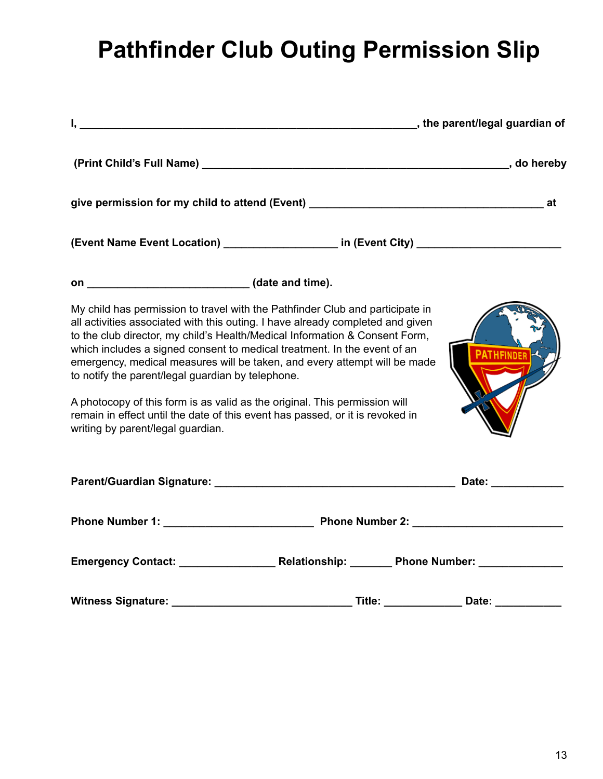# **Pathfinder Club Outing Permission Slip**

|                                                                                                                                                                                                                                                                                                                                                                                                                                                                                                                                                                                                                                                                  | the parent/legal guardian of |
|------------------------------------------------------------------------------------------------------------------------------------------------------------------------------------------------------------------------------------------------------------------------------------------------------------------------------------------------------------------------------------------------------------------------------------------------------------------------------------------------------------------------------------------------------------------------------------------------------------------------------------------------------------------|------------------------------|
|                                                                                                                                                                                                                                                                                                                                                                                                                                                                                                                                                                                                                                                                  |                              |
|                                                                                                                                                                                                                                                                                                                                                                                                                                                                                                                                                                                                                                                                  |                              |
| (Event Name Event Location) _____________________ in (Event City) _______________                                                                                                                                                                                                                                                                                                                                                                                                                                                                                                                                                                                |                              |
|                                                                                                                                                                                                                                                                                                                                                                                                                                                                                                                                                                                                                                                                  |                              |
| My child has permission to travel with the Pathfinder Club and participate in<br>all activities associated with this outing. I have already completed and given<br>to the club director, my child's Health/Medical Information & Consent Form,<br>which includes a signed consent to medical treatment. In the event of an<br>emergency, medical measures will be taken, and every attempt will be made<br>to notify the parent/legal guardian by telephone.<br>A photocopy of this form is as valid as the original. This permission will<br>remain in effect until the date of this event has passed, or it is revoked in<br>writing by parent/legal guardian. |                              |
|                                                                                                                                                                                                                                                                                                                                                                                                                                                                                                                                                                                                                                                                  |                              |
|                                                                                                                                                                                                                                                                                                                                                                                                                                                                                                                                                                                                                                                                  |                              |
|                                                                                                                                                                                                                                                                                                                                                                                                                                                                                                                                                                                                                                                                  |                              |
|                                                                                                                                                                                                                                                                                                                                                                                                                                                                                                                                                                                                                                                                  |                              |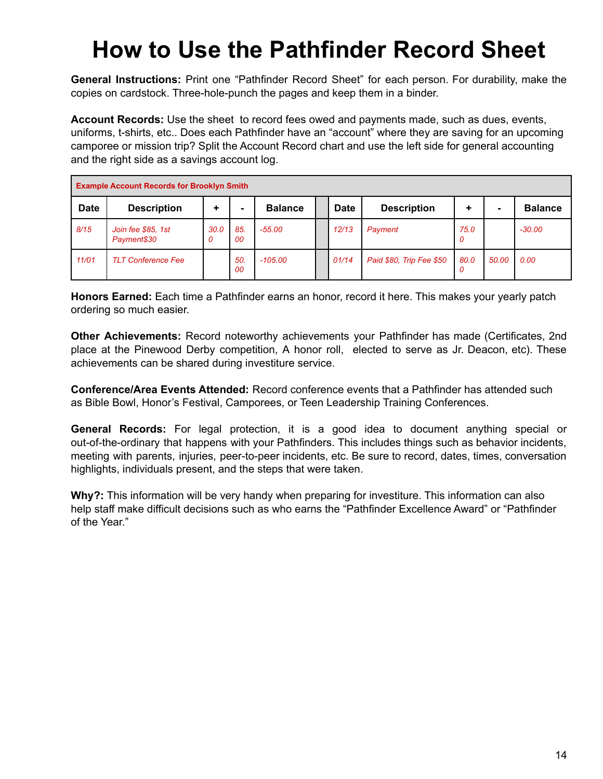### **How to Use the Pathfinder Record Sheet**

**General Instructions:** Print one "Pathfinder Record Sheet" for each person. For durability, make the copies on cardstock. Three-hole-punch the pages and keep them in a binder.

**Account Records:** Use the sheet to record fees owed and payments made, such as dues, events, uniforms, t-shirts, etc.. Does each Pathfinder have an "account" where they are saving for an upcoming camporee or mission trip? Split the Account Record chart and use the left side for general accounting and the right side as a savings account log.

| <b>Example Account Records for Brooklyn Smith</b> |                                   |           |                |                |  |             |                          |           |       |                |
|---------------------------------------------------|-----------------------------------|-----------|----------------|----------------|--|-------------|--------------------------|-----------|-------|----------------|
| <b>Date</b>                                       | <b>Description</b>                | ٠         | $\blacksquare$ | <b>Balance</b> |  | <b>Date</b> | <b>Description</b>       | ٠         |       | <b>Balance</b> |
| 8/15                                              | Join fee \$85, 1st<br>Payment\$30 | 30.0<br>0 | 85.<br>00      | $-55.00$       |  | 12/13       | Payment                  | 75.0<br>0 |       | $-30.00$       |
| 11/01                                             | <b>TLT Conference Fee</b>         |           | 50<br>00       | $-105.00$      |  | 01/14       | Paid \$80, Trip Fee \$50 | 80.0<br>0 | 50.00 | 0.00           |

**Honors Earned:** Each time a Pathfinder earns an honor, record it here. This makes your yearly patch ordering so much easier.

**Other Achievements:** Record noteworthy achievements your Pathfinder has made (Certificates, 2nd place at the Pinewood Derby competition, A honor roll, elected to serve as Jr. Deacon, etc). These achievements can be shared during investiture service.

**Conference/Area Events Attended:** Record conference events that a Pathfinder has attended such as Bible Bowl, Honor's Festival, Camporees, or Teen Leadership Training Conferences.

**General Records:** For legal protection, it is a good idea to document anything special or out-of-the-ordinary that happens with your Pathfinders. This includes things such as behavior incidents, meeting with parents, injuries, peer-to-peer incidents, etc. Be sure to record, dates, times, conversation highlights, individuals present, and the steps that were taken.

**Why?:** This information will be very handy when preparing for investiture. This information can also help staff make difficult decisions such as who earns the "Pathfinder Excellence Award" or "Pathfinder of the Year."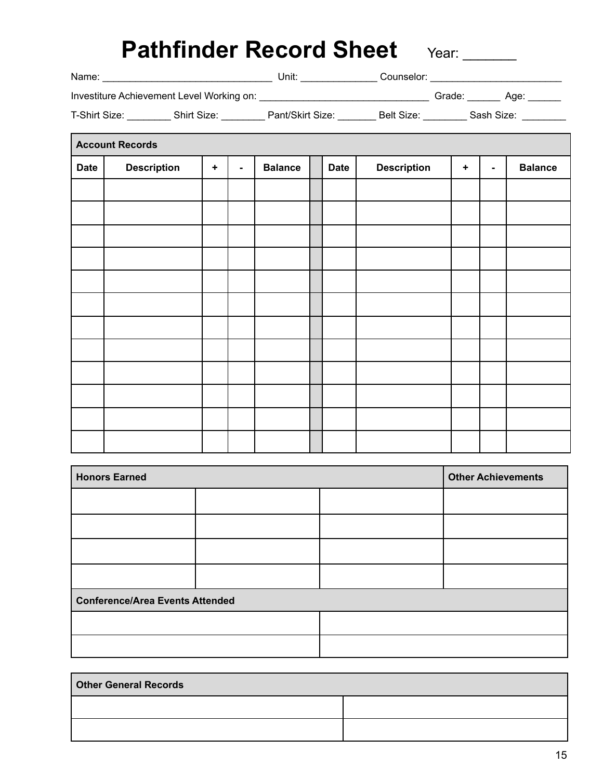| Name:                                     | Jnit: | :ounselor: |        |  |  |
|-------------------------------------------|-------|------------|--------|--|--|
| Investiture Achievement Level Working on: |       |            | Grade. |  |  |

| T-Shirt Size: | Shirt Size: | Pant/Skirt Size: | Size:<br>Belt | Sash Size <sup>.</sup> |
|---------------|-------------|------------------|---------------|------------------------|
|               |             |                  |               |                        |

|             | <b>Account Records</b> |         |                |                |  |             |                    |         |                |                |
|-------------|------------------------|---------|----------------|----------------|--|-------------|--------------------|---------|----------------|----------------|
| <b>Date</b> | <b>Description</b>     | $\ddag$ | $\blacksquare$ | <b>Balance</b> |  | <b>Date</b> | <b>Description</b> | $\ddag$ | $\blacksquare$ | <b>Balance</b> |
|             |                        |         |                |                |  |             |                    |         |                |                |
|             |                        |         |                |                |  |             |                    |         |                |                |
|             |                        |         |                |                |  |             |                    |         |                |                |
|             |                        |         |                |                |  |             |                    |         |                |                |
|             |                        |         |                |                |  |             |                    |         |                |                |
|             |                        |         |                |                |  |             |                    |         |                |                |
|             |                        |         |                |                |  |             |                    |         |                |                |
|             |                        |         |                |                |  |             |                    |         |                |                |
|             |                        |         |                |                |  |             |                    |         |                |                |
|             |                        |         |                |                |  |             |                    |         |                |                |
|             |                        |         |                |                |  |             |                    |         |                |                |
|             |                        |         |                |                |  |             |                    |         |                |                |

| <b>Honors Earned</b>                   |  | <b>Other Achievements</b> |
|----------------------------------------|--|---------------------------|
|                                        |  |                           |
|                                        |  |                           |
|                                        |  |                           |
|                                        |  |                           |
| <b>Conference/Area Events Attended</b> |  |                           |
|                                        |  |                           |
|                                        |  |                           |

| <b>Other General Records</b> |  |  |
|------------------------------|--|--|
|                              |  |  |
|                              |  |  |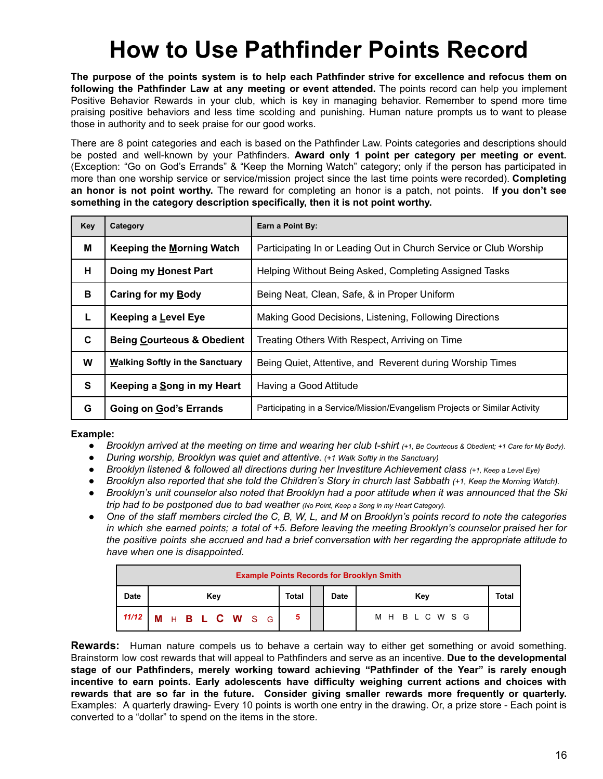### **How to Use Pathfinder Points Record**

The purpose of the points system is to help each Pathfinder strive for excellence and refocus them on **following the Pathfinder Law at any meeting or event attended.** The points record can help you implement Positive Behavior Rewards in your club, which is key in managing behavior. Remember to spend more time praising positive behaviors and less time scolding and punishing. Human nature prompts us to want to please those in authority and to seek praise for our good works.

There are 8 point categories and each is based on the Pathfinder Law. Points categories and descriptions should be posted and well-known by your Pathfinders. **Award only 1 point per category per meeting or event.** (Exception: "Go on God's Errands" & "Keep the Morning Watch" category; only if the person has participated in more than one worship service or service/mission project since the last time points were recorded). **Completing an honor is not point worthy.** The reward for completing an honor is a patch, not points. **If you don't see something in the category description specifically, then it is not point worthy.**

| Key                                                       | Category<br>Earn a Point By:                                       |                                                                            |  |  |  |
|-----------------------------------------------------------|--------------------------------------------------------------------|----------------------------------------------------------------------------|--|--|--|
| М                                                         | Keeping the Morning Watch                                          | Participating In or Leading Out in Church Service or Club Worship          |  |  |  |
| н<br>Doing my Honest Part                                 |                                                                    | Helping Without Being Asked, Completing Assigned Tasks                     |  |  |  |
| в                                                         | Caring for my Body<br>Being Neat, Clean, Safe, & in Proper Uniform |                                                                            |  |  |  |
| L.                                                        | Keeping a Level Eye                                                | Making Good Decisions, Listening, Following Directions                     |  |  |  |
| C.                                                        | <b>Being Courteous &amp; Obedient</b>                              | Treating Others With Respect, Arriving on Time                             |  |  |  |
| W                                                         | Walking Softly in the Sanctuary                                    | Being Quiet, Attentive, and Reverent during Worship Times                  |  |  |  |
| S<br>Keeping a Song in my Heart<br>Having a Good Attitude |                                                                    |                                                                            |  |  |  |
| G                                                         | Going on God's Errands                                             | Participating in a Service/Mission/Evangelism Projects or Similar Activity |  |  |  |

#### **Example:**

- Brooklyn arrived at the meeting on time and wearing her club t-shirt (+1, Be Courteous & Obedient; +1 Care for My Body).
- *● During worship, Brooklyn was quiet and attentive. (+1 Walk Softly in the Sanctuary)*
- Brooklyn listened & followed all directions during her Investiture Achievement class (+1, Keep a Level Eye)
- Brooklyn also reported that she told the Children's Story in church last Sabbath (+1, Keep the Morning Watch).
- Brooklyn's unit counselor also noted that Brooklyn had a poor attitude when it was announced that the Ski *trip had to be postponed due to bad weather (No Point, Keep <sup>a</sup> Song in my Heart Category).*
- One of the staff members circled the C, B, W, L, and M on Brooklyn's points record to note the categories in which she earned points; a total of +5. Before leaving the meeting Brooklyn's counselor praised her for the positive points she accrued and had a brief conversation with her regarding the appropriate attitude to *have when one is disappointed.*

| <b>Example Points Records for Brooklyn Smith</b> |                 |       |             |                 |       |
|--------------------------------------------------|-----------------|-------|-------------|-----------------|-------|
| <b>Date</b>                                      | Kev             | Total | <b>Date</b> | Key             | Total |
| 11/12                                            | M H B L C W S G | 5     |             | M H B L C W S G |       |

**Rewards:** Human nature compels us to behave a certain way to either get something or avoid something. Brainstorm low cost rewards that will appeal to Pathfinders and serve as an incentive. **Due to the developmental stage of our Pathfinders, merely working toward achieving "Pathfinder of the Year" is rarely enough incentive to earn points. Early adolescents have difficulty weighing current actions and choices with rewards that are so far in the future. Consider giving smaller rewards more frequently or quarterly.** Examples: A quarterly drawing- Every 10 points is worth one entry in the drawing. Or, a prize store - Each point is converted to a "dollar" to spend on the items in the store.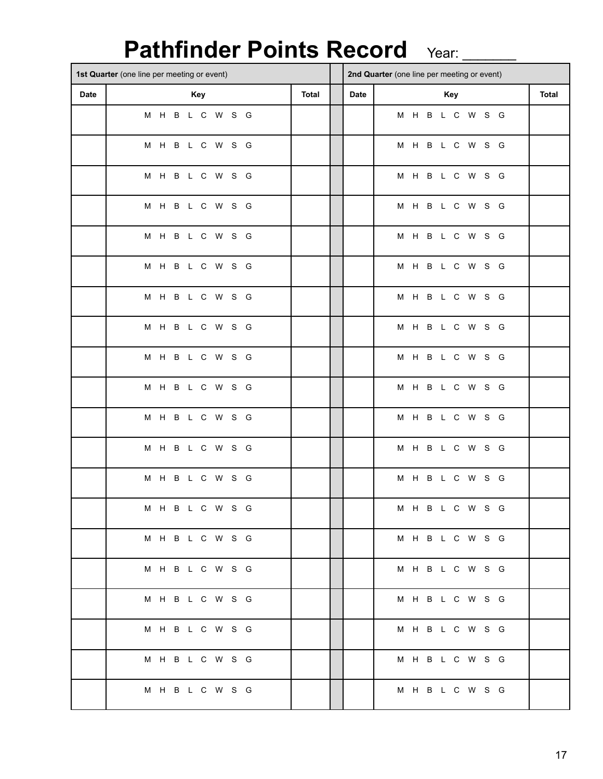### Pathfinder Points Record Year: \_\_\_\_\_

|             | 1st Quarter (one line per meeting or event) |                 |              |      | 2nd Quarter (one line per meeting or event) |       |  |
|-------------|---------------------------------------------|-----------------|--------------|------|---------------------------------------------|-------|--|
| <b>Date</b> |                                             | Key             | <b>Total</b> | Date | Key                                         | Total |  |
|             |                                             | M H B L C W S G |              |      | M H B L C W S G                             |       |  |
|             |                                             | M H B L C W S G |              |      | M H B L C W S G                             |       |  |
|             |                                             | M H B L C W S G |              |      | M H B L C W S G                             |       |  |
|             |                                             | M H B L C W S G |              |      | M H B L C W S G                             |       |  |
|             |                                             | M H B L C W S G |              |      | M H B L C W S G                             |       |  |
|             |                                             | M H B L C W S G |              |      | M H B L C W S G                             |       |  |
|             |                                             | M H B L C W S G |              |      | M H B L C W S G                             |       |  |
|             |                                             | M H B L C W S G |              |      | M H B L C W S G                             |       |  |
|             |                                             | M H B L C W S G |              |      | M H B L C W S G                             |       |  |
|             |                                             | M H B L C W S G |              |      | M H B L C W S G                             |       |  |
|             |                                             | M H B L C W S G |              |      | M H B L C W S G                             |       |  |
|             |                                             | M H B L C W S G |              |      | M H B L C W S G                             |       |  |
|             |                                             | M H B L C W S G |              |      | M H B L C W S G                             |       |  |
|             |                                             | M H B L C W S G |              |      | M H B L C W S G                             |       |  |
|             |                                             | M H B L C W S G |              |      | M H B L C W S G                             |       |  |
|             |                                             | M H B L C W S G |              |      | M H B L C W S G                             |       |  |
|             |                                             | M H B L C W S G |              |      | M H B L C W S G                             |       |  |
|             |                                             | M H B L C W S G |              |      | M H B L C W S G                             |       |  |
|             |                                             | M H B L C W S G |              |      | M H B L C W S G                             |       |  |
|             |                                             | M H B L C W S G |              |      | M H B L C W S G                             |       |  |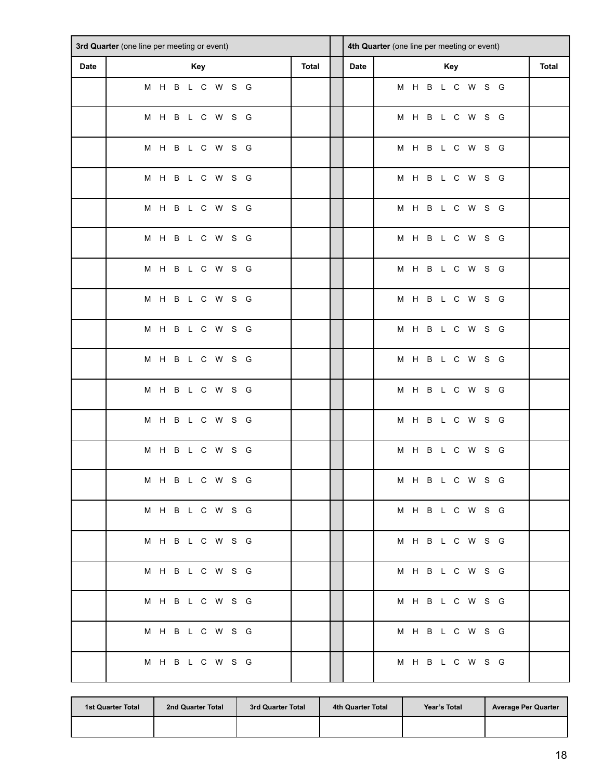|             | 3rd Quarter (one line per meeting or event) |       |      | 4th Quarter (one line per meeting or event) |       |
|-------------|---------------------------------------------|-------|------|---------------------------------------------|-------|
| <b>Date</b> | Key                                         | Total | Date | Key                                         | Total |
|             | M H B L C W S G                             |       |      | M H B L C W S G                             |       |
|             | M H B L C W S G                             |       |      | M H B L C W S G                             |       |
|             | M H B L C W S G                             |       |      | M H B L C W S G                             |       |
|             | M H B L C W S G                             |       |      | M H B L C W S G                             |       |
|             | M H B L C W S G                             |       |      | M H B L C W S G                             |       |
|             | M H B L C W S G                             |       |      | M H B L C W S G                             |       |
|             | M H B L C W S G                             |       |      | M H B L C W S G                             |       |
|             | M H B L C W S G                             |       |      | M H B L C W S G                             |       |
|             | M H B L C W S G                             |       |      | M H B L C W S G                             |       |
|             | M H B L C W S G                             |       |      | M H B L C W S G                             |       |
|             | M H B L C W S G                             |       |      | M H B L C W S G                             |       |
|             | M H B L C W S G                             |       |      | M H B L C W S G                             |       |
|             | M H B L C W S G                             |       |      | M H B L C W S G                             |       |
|             | M H B L C W S G                             |       |      | M H B L C W S G                             |       |
|             | M H B L C W S G                             |       |      | M H B L C W S G                             |       |
|             | M H B L C W S G                             |       |      | M H B L C W S G                             |       |
|             | M H B L C W S G                             |       |      | M H B L C W S G                             |       |
|             | M H B L C W S G                             |       |      | M H B L C W S G                             |       |
|             | M H B L C W S G                             |       |      | M H B L C W S G                             |       |
|             | M H B L C W S G                             |       |      | M H B L C W S G                             |       |

| <b>1st Quarter Total</b> | 2nd Quarter Total | 3rd Quarter Total | 4th Quarter Total | Year's Total | <b>Average Per Quarter</b> |
|--------------------------|-------------------|-------------------|-------------------|--------------|----------------------------|
|                          |                   |                   |                   |              |                            |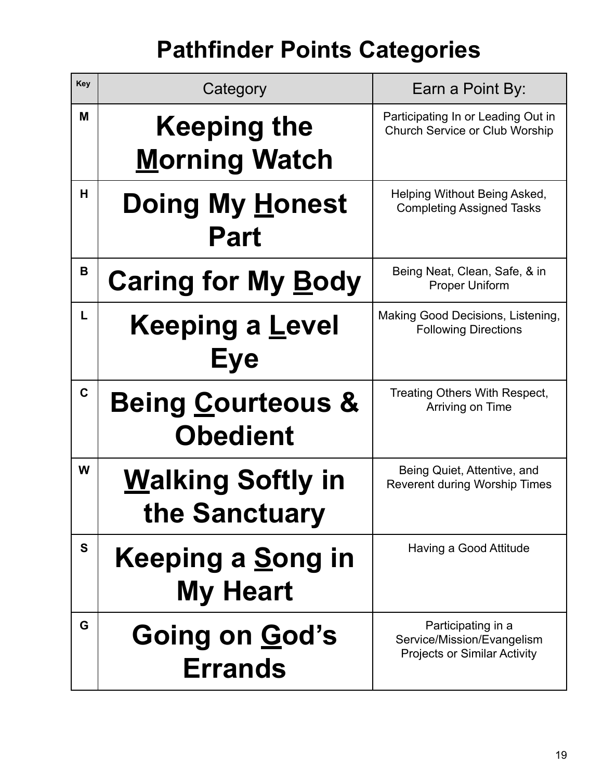# **Pathfinder Points Categories**

| Key          | Category                                        | Earn a Point By:                                                                        |
|--------------|-------------------------------------------------|-----------------------------------------------------------------------------------------|
| M            | <b>Keeping the</b>                              | Participating In or Leading Out in<br><b>Church Service or Club Worship</b>             |
|              | <b>Morning Watch</b>                            |                                                                                         |
| H.           | <b>Doing My Honest</b><br><b>Part</b>           | Helping Without Being Asked,<br><b>Completing Assigned Tasks</b>                        |
| B            | <b>Caring for My Body</b>                       | Being Neat, Clean, Safe, & in<br><b>Proper Uniform</b>                                  |
| L.           | <b>Keeping a Level</b><br><b>Eye</b>            | Making Good Decisions, Listening,<br><b>Following Directions</b>                        |
| $\mathbf{C}$ | <b>Being Courteous &amp;</b><br><b>Obedient</b> | Treating Others With Respect,<br>Arriving on Time                                       |
| W            | <b>Walking Softly in</b><br>the Sanctuary       | Being Quiet, Attentive, and<br><b>Reverent during Worship Times</b>                     |
| S            | Keeping a <u>S</u> ong in<br><b>My Heart</b>    | Having a Good Attitude                                                                  |
| G            | Going on God's<br><b>Errands</b>                | Participating in a<br>Service/Mission/Evangelism<br><b>Projects or Similar Activity</b> |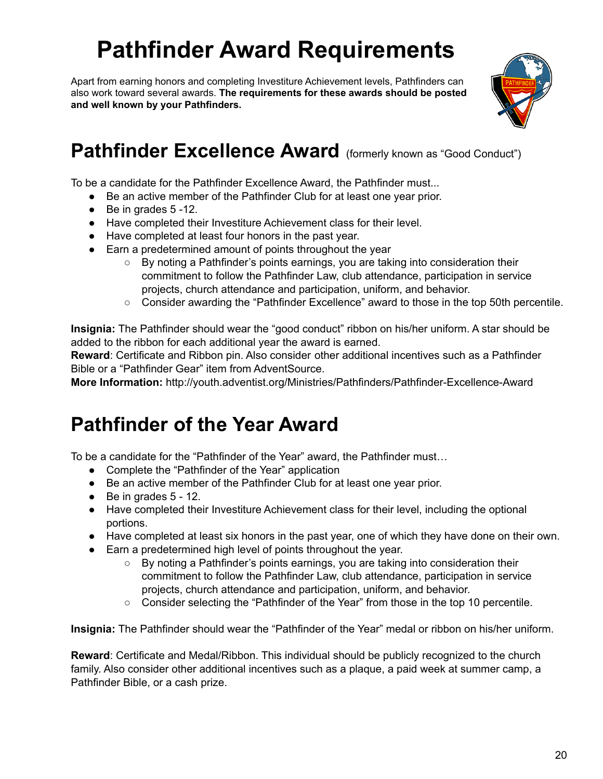# **Pathfinder Award Requirements**

Apart from earning honors and completing Investiture Achievement levels, Pathfinders can also work toward several awards. **The requirements for these awards should be posted and well known by your Pathfinders.**



### **Pathfinder Excellence Award** (formerly known as "Good Conduct")

To be a candidate for the Pathfinder Excellence Award, the Pathfinder must...

- Be an active member of the Pathfinder Club for at least one year prior.
- $\bullet$  Be in grades 5 -12.
- Have completed their Investiture Achievement class for their level.
- Have completed at least four honors in the past year.
- Earn a predetermined amount of points throughout the year
	- $\circ$  By noting a Pathfinder's points earnings, you are taking into consideration their commitment to follow the Pathfinder Law, club attendance, participation in service projects, church attendance and participation, uniform, and behavior.
	- Consider awarding the "Pathfinder Excellence" award to those in the top 50th percentile.

**Insignia:** The Pathfinder should wear the "good conduct" ribbon on his/her uniform. A star should be added to the ribbon for each additional year the award is earned.

**Reward**: Certificate and Ribbon pin. Also consider other additional incentives such as a Pathfinder Bible or a "Pathfinder Gear" item from AdventSource.

**More Information:** http://youth.adventist.org/Ministries/Pathfinders/Pathfinder-Excellence-Award

### **Pathfinder of the Year Award**

To be a candidate for the "Pathfinder of the Year" award, the Pathfinder must…

- Complete the "Pathfinder of the Year" application
- Be an active member of the Pathfinder Club for at least one year prior.
- $\bullet$  Be in grades 5 12.
- Have completed their Investiture Achievement class for their level, including the optional portions.
- Have completed at least six honors in the past year, one of which they have done on their own.
- Earn a predetermined high level of points throughout the year.
	- By noting a Pathfinder's points earnings, you are taking into consideration their commitment to follow the Pathfinder Law, club attendance, participation in service projects, church attendance and participation, uniform, and behavior.
	- Consider selecting the "Pathfinder of the Year" from those in the top 10 percentile.

**Insignia:** The Pathfinder should wear the "Pathfinder of the Year" medal or ribbon on his/her uniform.

**Reward**: Certificate and Medal/Ribbon. This individual should be publicly recognized to the church family. Also consider other additional incentives such as a plaque, a paid week at summer camp, a Pathfinder Bible, or a cash prize.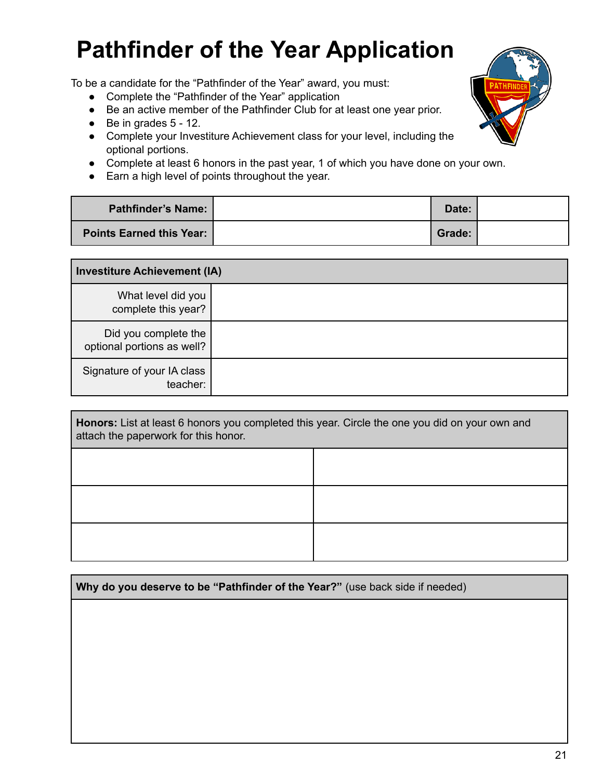# **Pathfinder of the Year Application**

To be a candidate for the "Pathfinder of the Year" award, you must:

- Complete the "Pathfinder of the Year" application
- Be an active member of the Pathfinder Club for at least one year prior.
- $\bullet$  Be in grades  $5 12$ .
- Complete your Investiture Achievement class for your level, including the optional portions.
- Complete at least 6 honors in the past year, 1 of which you have done on your own.
- Earn a high level of points throughout the year.

| <b>Pathfinder's Name:</b> | Date:  |  |
|---------------------------|--------|--|
| Points Earned this Year:  | Grade: |  |

| <b>Investiture Achievement (IA)</b>                |  |  |
|----------------------------------------------------|--|--|
| What level did you<br>complete this year?          |  |  |
| Did you complete the<br>optional portions as well? |  |  |
| Signature of your IA class<br>teacher:             |  |  |

| Honors: List at least 6 honors you completed this year. Circle the one you did on your own and<br>attach the paperwork for this honor. |  |  |  |  |
|----------------------------------------------------------------------------------------------------------------------------------------|--|--|--|--|
|                                                                                                                                        |  |  |  |  |
|                                                                                                                                        |  |  |  |  |
|                                                                                                                                        |  |  |  |  |

| Why do you deserve to be "Pathfinder of the Year?" (use back side if needed) |  |  |
|------------------------------------------------------------------------------|--|--|
|                                                                              |  |  |
|                                                                              |  |  |
|                                                                              |  |  |
|                                                                              |  |  |
|                                                                              |  |  |

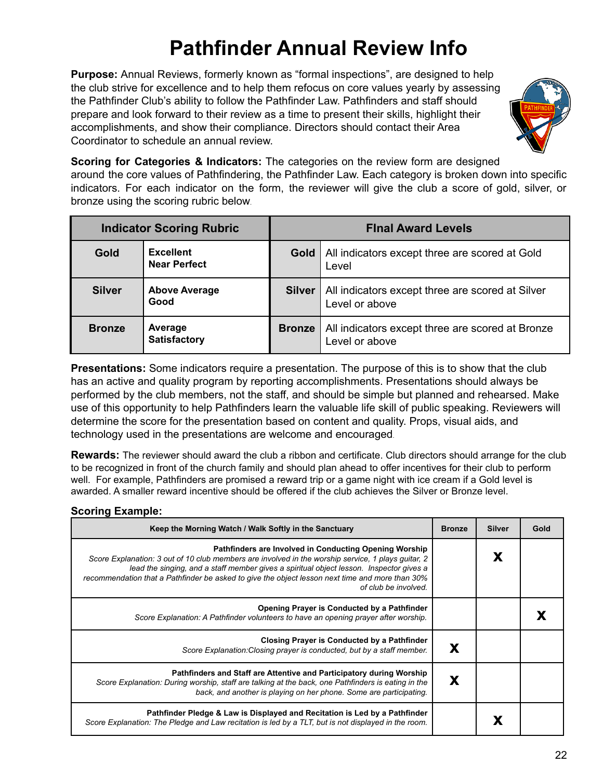### **Pathfinder Annual Review Info**

**Purpose:** Annual Reviews, formerly known as "formal inspections", are designed to help the club strive for excellence and to help them refocus on core values yearly by assessing the Pathfinder Club's ability to follow the Pathfinder Law. Pathfinders and staff should prepare and look forward to their review as a time to present their skills, highlight their accomplishments, and show their compliance. Directors should contact their Area Coordinator to schedule an annual review.



**Scoring for Categories & Indicators:** The categories on the review form are designed

around the core values of Pathfindering, the Pathfinder Law. Each category is broken down into specific indicators. For each indicator on the form, the reviewer will give the club a score of gold, silver, or bronze using the scoring rubric below.

| <b>Indicator Scoring Rubric</b> |                                         | <b>Final Award Levels</b> |                                                                       |  |
|---------------------------------|-----------------------------------------|---------------------------|-----------------------------------------------------------------------|--|
| Gold                            | <b>Excellent</b><br><b>Near Perfect</b> |                           | <b>Gold</b>   All indicators except three are scored at Gold<br>Level |  |
| <b>Silver</b>                   | <b>Above Average</b><br>Good            | Silver                    | All indicators except three are scored at Silver<br>Level or above    |  |
| <b>Bronze</b>                   | Average<br><b>Satisfactory</b>          | Bronze                    | All indicators except three are scored at Bronze<br>Level or above    |  |

**Presentations:** Some indicators require a presentation. The purpose of this is to show that the club has an active and quality program by reporting accomplishments. Presentations should always be performed by the club members, not the staff, and should be simple but planned and rehearsed. Make use of this opportunity to help Pathfinders learn the valuable life skill of public speaking. Reviewers will determine the score for the presentation based on content and quality. Props, visual aids, and technology used in the presentations are welcome and encouraged.

**Rewards:** The reviewer should award the club a ribbon and certificate. Club directors should arrange for the club to be recognized in front of the church family and should plan ahead to offer incentives for their club to perform well. For example, Pathfinders are promised a reward trip or a game night with ice cream if a Gold level is awarded. A smaller reward incentive should be offered if the club achieves the Silver or Bronze level.

#### **Scoring Example:**

| Keep the Morning Watch / Walk Softly in the Sanctuary                                                                                                                                                                                                                                                                                                                              | <b>Bronze</b> | <b>Silver</b> | Gold |
|------------------------------------------------------------------------------------------------------------------------------------------------------------------------------------------------------------------------------------------------------------------------------------------------------------------------------------------------------------------------------------|---------------|---------------|------|
| Pathfinders are Involved in Conducting Opening Worship<br>Score Explanation: 3 out of 10 club members are involved in the worship service, 1 plays guitar, 2<br>lead the singing, and a staff member gives a spiritual object lesson. Inspector gives a<br>recommendation that a Pathfinder be asked to give the object lesson next time and more than 30%<br>of club be involved. |               | Х             |      |
| Opening Prayer is Conducted by a Pathfinder<br>Score Explanation: A Pathfinder volunteers to have an opening prayer after worship.                                                                                                                                                                                                                                                 |               |               |      |
| Closing Prayer is Conducted by a Pathfinder<br>Score Explanation: Closing prayer is conducted, but by a staff member.                                                                                                                                                                                                                                                              | X             |               |      |
| Pathfinders and Staff are Attentive and Participatory during Worship<br>Score Explanation: During worship, staff are talking at the back, one Pathfinders is eating in the<br>back, and another is playing on her phone. Some are participating.                                                                                                                                   | Х             |               |      |
| Pathfinder Pledge & Law is Displayed and Recitation is Led by a Pathfinder<br>Score Explanation: The Pledge and Law recitation is led by a TLT, but is not displayed in the room.                                                                                                                                                                                                  |               |               |      |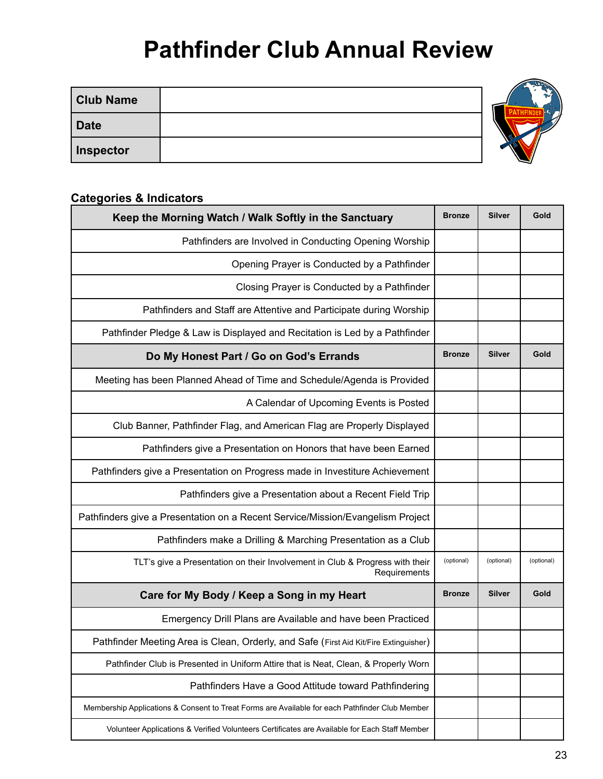### **Pathfinder Club Annual Review**

| <b>Club Name</b> |  |
|------------------|--|
| <b>Date</b>      |  |
| <b>Inspector</b> |  |

#### **Categories & Indicators**

| Keep the Morning Watch / Walk Softly in the Sanctuary                                          | <b>Bronze</b> | <b>Silver</b> | Gold       |
|------------------------------------------------------------------------------------------------|---------------|---------------|------------|
| Pathfinders are Involved in Conducting Opening Worship                                         |               |               |            |
| Opening Prayer is Conducted by a Pathfinder                                                    |               |               |            |
| Closing Prayer is Conducted by a Pathfinder                                                    |               |               |            |
| Pathfinders and Staff are Attentive and Participate during Worship                             |               |               |            |
| Pathfinder Pledge & Law is Displayed and Recitation is Led by a Pathfinder                     |               |               |            |
| Do My Honest Part / Go on God's Errands                                                        | <b>Bronze</b> | <b>Silver</b> | Gold       |
| Meeting has been Planned Ahead of Time and Schedule/Agenda is Provided                         |               |               |            |
| A Calendar of Upcoming Events is Posted                                                        |               |               |            |
| Club Banner, Pathfinder Flag, and American Flag are Properly Displayed                         |               |               |            |
| Pathfinders give a Presentation on Honors that have been Earned                                |               |               |            |
| Pathfinders give a Presentation on Progress made in Investiture Achievement                    |               |               |            |
| Pathfinders give a Presentation about a Recent Field Trip                                      |               |               |            |
| Pathfinders give a Presentation on a Recent Service/Mission/Evangelism Project                 |               |               |            |
| Pathfinders make a Drilling & Marching Presentation as a Club                                  |               |               |            |
| TLT's give a Presentation on their Involvement in Club & Progress with their<br>Requirements   | (optional)    | (optional)    | (optional) |
| Care for My Body / Keep a Song in my Heart                                                     | <b>Bronze</b> | <b>Silver</b> | Gold       |
| Emergency Drill Plans are Available and have been Practiced                                    |               |               |            |
| Pathfinder Meeting Area is Clean, Orderly, and Safe (First Aid Kit/Fire Extinguisher)          |               |               |            |
| Pathfinder Club is Presented in Uniform Attire that is Neat, Clean, & Properly Worn            |               |               |            |
| Pathfinders Have a Good Attitude toward Pathfindering                                          |               |               |            |
| Membership Applications & Consent to Treat Forms are Available for each Pathfinder Club Member |               |               |            |
| Volunteer Applications & Verified Volunteers Certificates are Available for Each Staff Member  |               |               |            |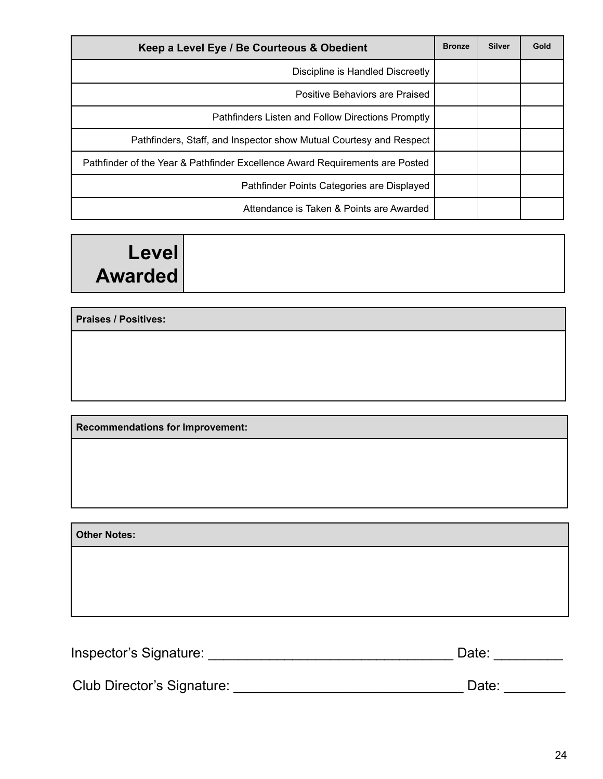| Keep a Level Eye / Be Courteous & Obedient                                   |  | <b>Silver</b> | Gold |
|------------------------------------------------------------------------------|--|---------------|------|
| Discipline is Handled Discreetly                                             |  |               |      |
| Positive Behaviors are Praised                                               |  |               |      |
| Pathfinders Listen and Follow Directions Promptly                            |  |               |      |
| Pathfinders, Staff, and Inspector show Mutual Courtesy and Respect           |  |               |      |
| Pathfinder of the Year & Pathfinder Excellence Award Requirements are Posted |  |               |      |
| Pathfinder Points Categories are Displayed                                   |  |               |      |
| Attendance is Taken & Points are Awarded                                     |  |               |      |

### **Level Awarded**

**Praises / Positives:**

**Recommendations for Improvement:**

**Other Notes:**

Inspector's Signature: \_\_\_\_\_\_\_\_\_\_\_\_\_\_\_\_\_\_\_\_\_\_\_\_\_\_\_\_\_\_\_\_ Date: \_\_\_\_\_\_\_\_\_

Club Director's Signature: \_\_\_\_\_\_\_\_\_\_\_\_\_\_\_\_\_\_\_\_\_\_\_\_\_\_\_\_\_\_ Date: \_\_\_\_\_\_\_\_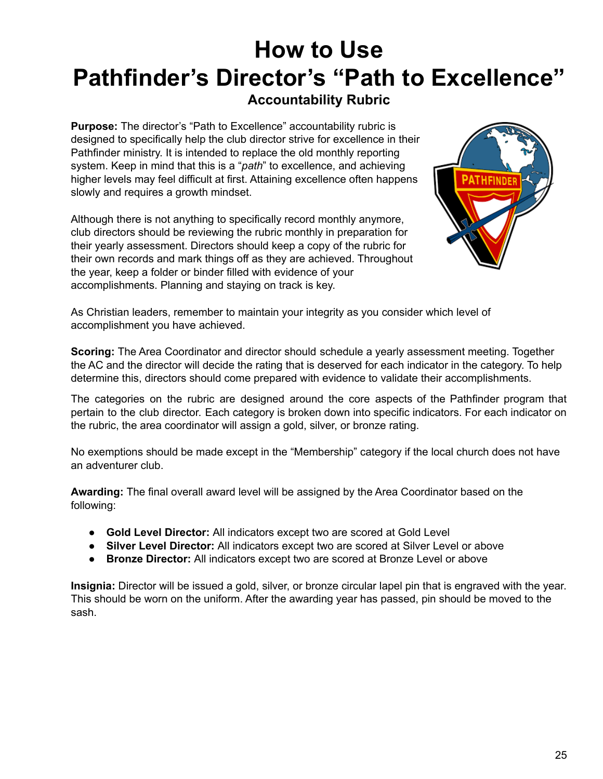### **How to Use Pathfinder's Director's "Path to Excellence" Accountability Rubric**

**Purpose:** The director's "Path to Excellence" accountability rubric is designed to specifically help the club director strive for excellence in their Pathfinder ministry. It is intended to replace the old monthly reporting system. Keep in mind that this is a "*path*" to excellence, and achieving higher levels may feel difficult at first. Attaining excellence often happens slowly and requires a growth mindset.

Although there is not anything to specifically record monthly anymore, club directors should be reviewing the rubric monthly in preparation for their yearly assessment. Directors should keep a copy of the rubric for their own records and mark things off as they are achieved. Throughout the year, keep a folder or binder filled with evidence of your accomplishments. Planning and staying on track is key.



As Christian leaders, remember to maintain your integrity as you consider which level of accomplishment you have achieved.

**Scoring:** The Area Coordinator and director should schedule a yearly assessment meeting. Together the AC and the director will decide the rating that is deserved for each indicator in the category. To help determine this, directors should come prepared with evidence to validate their accomplishments.

The categories on the rubric are designed around the core aspects of the Pathfinder program that pertain to the club director. Each category is broken down into specific indicators. For each indicator on the rubric, the area coordinator will assign a gold, silver, or bronze rating.

No exemptions should be made except in the "Membership" category if the local church does not have an adventurer club.

**Awarding:** The final overall award level will be assigned by the Area Coordinator based on the following:

- **Gold Level Director:** All indicators except two are scored at Gold Level
- **Silver Level Director:** All indicators except two are scored at Silver Level or above
- **Bronze Director:** All indicators except two are scored at Bronze Level or above

**Insignia:** Director will be issued a gold, silver, or bronze circular lapel pin that is engraved with the year. This should be worn on the uniform. After the awarding year has passed, pin should be moved to the sash.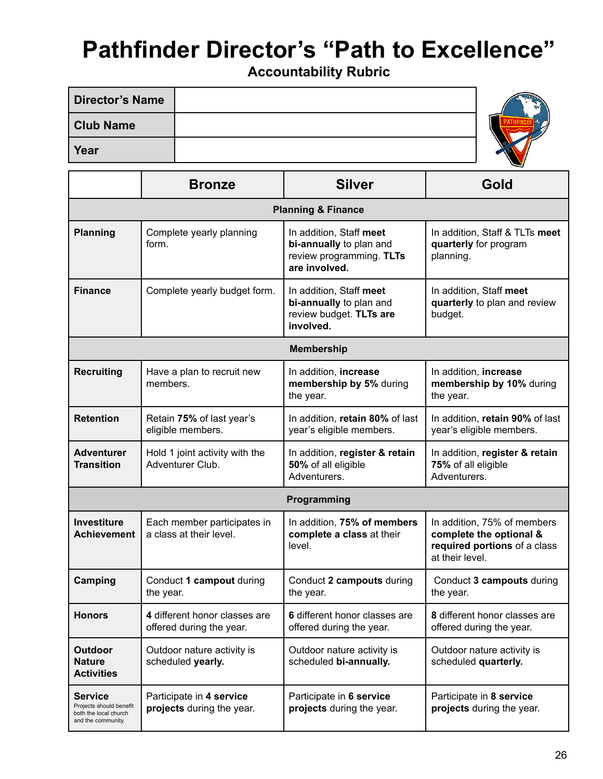# **Pathfinder Director's "Path to Excellence"**

**Accountability Rubric**

| <b>Director's Name</b> |  |
|------------------------|--|
| <b>Club Name</b>       |  |
| Year                   |  |

|                                                                                          | <b>Bronze</b>                                             | <b>Silver</b>                                                                                   | Gold                                                                                                      |  |  |
|------------------------------------------------------------------------------------------|-----------------------------------------------------------|-------------------------------------------------------------------------------------------------|-----------------------------------------------------------------------------------------------------------|--|--|
| <b>Planning &amp; Finance</b>                                                            |                                                           |                                                                                                 |                                                                                                           |  |  |
| <b>Planning</b>                                                                          | Complete yearly planning<br>form.                         | In addition, Staff meet<br>bi-annually to plan and<br>review programming. TLTs<br>are involved. | In addition, Staff & TLTs meet<br>quarterly for program<br>planning.                                      |  |  |
| <b>Finance</b>                                                                           | Complete yearly budget form.                              | In addition, Staff meet<br>bi-annually to plan and<br>review budget. TLTs are<br>involved.      | In addition, Staff meet<br>quarterly to plan and review<br>budget.                                        |  |  |
|                                                                                          |                                                           | <b>Membership</b>                                                                               |                                                                                                           |  |  |
| <b>Recruiting</b>                                                                        | Have a plan to recruit new<br>members.                    | In addition, increase<br>membership by 5% during<br>the year.                                   | In addition, increase<br>membership by 10% during<br>the year.                                            |  |  |
| <b>Retention</b>                                                                         | Retain 75% of last year's<br>eligible members.            | In addition, retain 80% of last<br>year's eligible members.                                     | In addition, retain 90% of last<br>year's eligible members.                                               |  |  |
| <b>Adventurer</b><br><b>Transition</b>                                                   | Hold 1 joint activity with the<br>Adventurer Club.        | In addition, register & retain<br>50% of all eligible<br>Adventurers.                           | In addition, register & retain<br>75% of all eligible<br>Adventurers.                                     |  |  |
|                                                                                          |                                                           | Programming                                                                                     |                                                                                                           |  |  |
| <b>Investiture</b><br><b>Achievement</b>                                                 | Each member participates in<br>a class at their level.    | In addition, 75% of members<br>complete a class at their<br>level.                              | In addition, 75% of members<br>complete the optional &<br>required portions of a class<br>at their level. |  |  |
| Camping                                                                                  | Conduct 1 campout during<br>the year.                     | Conduct 2 campouts during<br>the year.                                                          | Conduct 3 campouts during<br>the year.                                                                    |  |  |
| <b>Honors</b>                                                                            | 4 different honor classes are<br>offered during the year. | 6 different honor classes are<br>offered during the year.                                       | 8 different honor classes are<br>offered during the year.                                                 |  |  |
| <b>Outdoor</b><br><b>Nature</b><br><b>Activities</b>                                     | Outdoor nature activity is<br>scheduled yearly.           | Outdoor nature activity is<br>scheduled bi-annually.                                            | Outdoor nature activity is<br>scheduled quarterly.                                                        |  |  |
| <b>Service</b><br>Projects should benefit<br>both the local church<br>and the community. | Participate in 4 service<br>projects during the year.     | Participate in 6 service<br>projects during the year.                                           | Participate in 8 service<br>projects during the year.                                                     |  |  |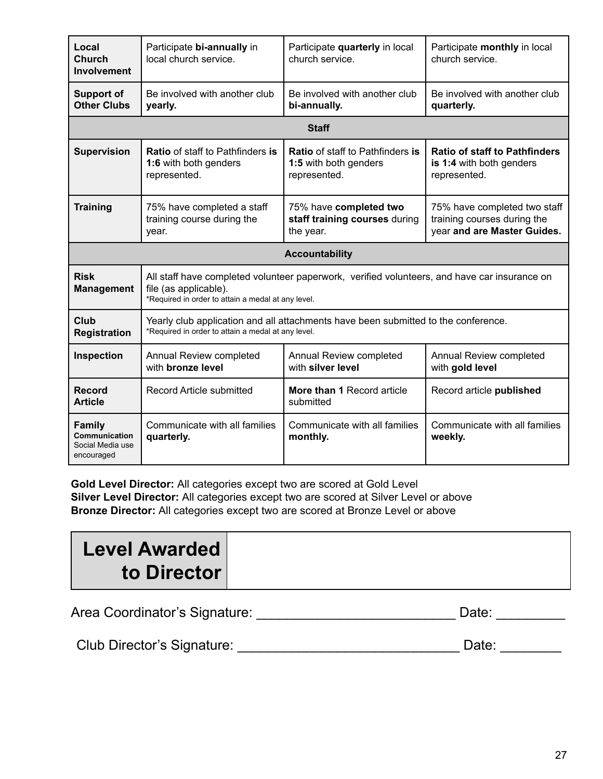| Local<br>Church<br><b>Involvement</b>                            | Participate bi-annually in<br>local church service.                                                                                                                         | Participate quarterly in local<br>church service.                                | Participate monthly in local<br>church service.                                            |  |  |
|------------------------------------------------------------------|-----------------------------------------------------------------------------------------------------------------------------------------------------------------------------|----------------------------------------------------------------------------------|--------------------------------------------------------------------------------------------|--|--|
| <b>Support of</b><br><b>Other Clubs</b>                          | Be involved with another club<br>yearly.                                                                                                                                    | Be involved with another club<br>bi-annually.                                    | Be involved with another club<br>quarterly.                                                |  |  |
|                                                                  |                                                                                                                                                                             | <b>Staff</b>                                                                     |                                                                                            |  |  |
| <b>Supervision</b>                                               | <b>Ratio</b> of staff to Pathfinders is<br>1:6 with both genders<br>represented.                                                                                            | <b>Ratio</b> of staff to Pathfinders is<br>1:5 with both genders<br>represented. | <b>Ratio of staff to Pathfinders</b><br>is 1:4 with both genders<br>represented.           |  |  |
| <b>Training</b>                                                  | 75% have completed a staff<br>training course during the<br>year.                                                                                                           | 75% have completed two<br>staff training courses during<br>the year.             | 75% have completed two staff<br>training courses during the<br>year and are Master Guides. |  |  |
|                                                                  |                                                                                                                                                                             | <b>Accountability</b>                                                            |                                                                                            |  |  |
| <b>Risk</b><br><b>Management</b>                                 | All staff have completed volunteer paperwork, verified volunteers, and have car insurance on<br>file (as applicable).<br>*Required in order to attain a medal at any level. |                                                                                  |                                                                                            |  |  |
| Club<br><b>Registration</b>                                      | Yearly club application and all attachments have been submitted to the conference.<br>*Required in order to attain a medal at any level.                                    |                                                                                  |                                                                                            |  |  |
| Inspection                                                       | Annual Review completed<br>with <b>bronze</b> level                                                                                                                         | Annual Review completed<br>with silver level                                     | Annual Review completed<br>with gold level                                                 |  |  |
| <b>Record</b><br><b>Article</b>                                  | <b>Record Article submitted</b>                                                                                                                                             | More than 1 Record article<br>submitted                                          | Record article published                                                                   |  |  |
| <b>Family</b><br>Communication<br>Social Media use<br>encouraged | Communicate with all families<br>quarterly.                                                                                                                                 | Communicate with all families<br>monthly.                                        | Communicate with all families<br>weekly.                                                   |  |  |

**Gold Level Director:** All categories except two are scored at Gold Level **Silver Level Director:** All categories except two are scored at Silver Level or above **Bronze Director:** All categories except two are scored at Bronze Level or above

| <b>Level Awarded</b> |  |
|----------------------|--|
| to Director          |  |
|                      |  |

| Area Coordinator's Signature: | Date: |  |
|-------------------------------|-------|--|
|-------------------------------|-------|--|

Club Director's Signature: \_\_\_\_\_\_\_\_\_\_\_\_\_\_\_\_\_\_\_\_\_\_\_\_\_\_\_\_\_ Date: \_\_\_\_\_\_\_\_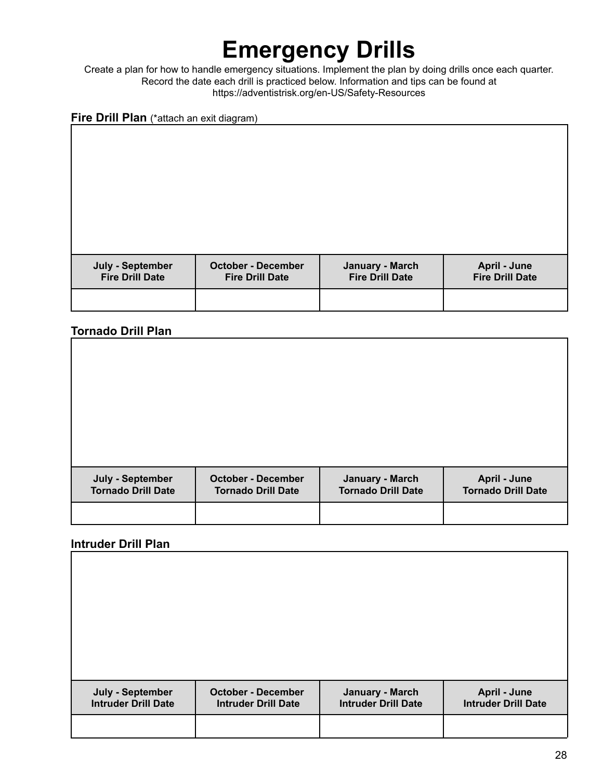# **Emergency Drills**

Create a plan for how to handle emergency situations. Implement the plan by doing drills once each quarter. Record the date each drill is practiced below. Information and tips can be found at https://adventistrisk.org/en-US/Safety-Resources

#### **Fire Drill Plan** (\*attach an exit diagram)

| July - September<br><b>Fire Drill Date</b> | <b>October - December</b><br><b>Fire Drill Date</b> | January - March<br><b>Fire Drill Date</b> | April - June<br><b>Fire Drill Date</b> |
|--------------------------------------------|-----------------------------------------------------|-------------------------------------------|----------------------------------------|
|                                            |                                                     |                                           |                                        |

#### **Tornado Drill Plan**

| July - September<br><b>Tornado Drill Date</b> | <b>October - December</b><br><b>Tornado Drill Date</b> | January - March<br><b>Tornado Drill Date</b> | April - June<br><b>Tornado Drill Date</b> |
|-----------------------------------------------|--------------------------------------------------------|----------------------------------------------|-------------------------------------------|
|                                               |                                                        |                                              |                                           |

#### **Intruder Drill Plan**

| July - September<br><b>Intruder Drill Date</b> | <b>October - December</b><br><b>Intruder Drill Date</b> | January - March<br><b>Intruder Drill Date</b> | April - June<br><b>Intruder Drill Date</b> |
|------------------------------------------------|---------------------------------------------------------|-----------------------------------------------|--------------------------------------------|
|                                                |                                                         |                                               |                                            |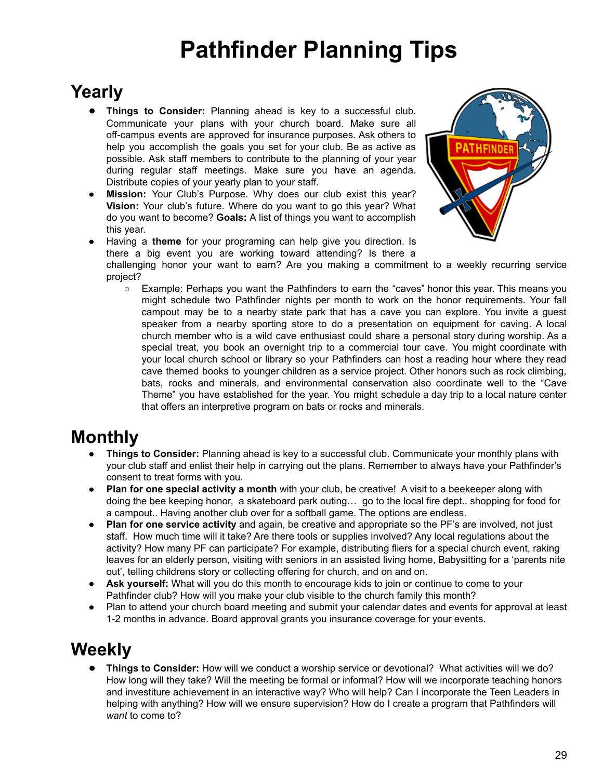# **Pathfinder Planning Tips**

### **Yearly**

- **● Things to Consider:** Planning ahead is key to a successful club. Communicate your plans with your church board. Make sure all off-campus events are approved for insurance purposes. Ask others to help you accomplish the goals you set for your club. Be as active as possible. Ask staff members to contribute to the planning of your year during regular staff meetings. Make sure you have an agenda. Distribute copies of your yearly plan to your staff.
- **Mission:** Your Club's Purpose. Why does our club exist this year? **Vision:** Your club's future. Where do you want to go this year? What do you want to become? **Goals:** A list of things you want to accomplish this year.



Having a **theme** for your programing can help give you direction. Is there a big event you are working toward attending? Is there a

challenging honor your want to earn? Are you making a commitment to a weekly recurring service project?

○ Example: Perhaps you want the Pathfinders to earn the "caves" honor this year. This means you might schedule two Pathfinder nights per month to work on the honor requirements. Your fall campout may be to a nearby state park that has a cave you can explore. You invite a guest speaker from a nearby sporting store to do a presentation on equipment for caving. A local church member who is a wild cave enthusiast could share a personal story during worship. As a special treat, you book an overnight trip to a commercial tour cave. You might coordinate with your local church school or library so your Pathfinders can host a reading hour where they read cave themed books to younger children as a service project. Other honors such as rock climbing, bats, rocks and minerals, and environmental conservation also coordinate well to the "Cave Theme" you have established for the year. You might schedule a day trip to a local nature center that offers an interpretive program on bats or rocks and minerals.

### **Monthly**

- **Things to Consider:** Planning ahead is key to a successful club. Communicate your monthly plans with your club staff and enlist their help in carrying out the plans. Remember to always have your Pathfinder's consent to treat forms with you.
- **Plan for one special activity a month** with your club, be creative! A visit to a beekeeper along with doing the bee keeping honor, a skateboard park outing… go to the local fire dept.. shopping for food for a campout.. Having another club over for a softball game. The options are endless.
- **Plan for one service activity** and again, be creative and appropriate so the PF's are involved, not just staff. How much time will it take? Are there tools or supplies involved? Any local regulations about the activity? How many PF can participate? For example, distributing fliers for a special church event, raking leaves for an elderly person, visiting with seniors in an assisted living home, Babysitting for a 'parents nite out', telling childrens story or collecting offering for church, and on and on.
- **Ask yourself:** What will you do this month to encourage kids to join or continue to come to your Pathfinder club? How will you make your club visible to the church family this month?
- Plan to attend your church board meeting and submit your calendar dates and events for approval at least 1-2 months in advance. Board approval grants you insurance coverage for your events.

### **Weekly**

**● Things to Consider:** How will we conduct a worship service or devotional? What activities will we do? How long will they take? Will the meeting be formal or informal? How will we incorporate teaching honors and investiture achievement in an interactive way? Who will help? Can I incorporate the Teen Leaders in helping with anything? How will we ensure supervision? How do I create a program that Pathfinders will *want* to come to?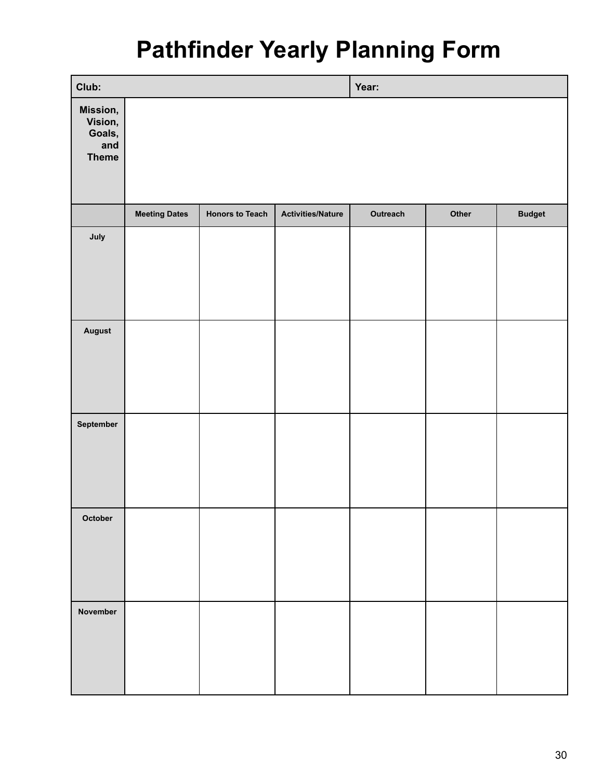# **Pathfinder Yearly Planning Form**

| Club:                                                |                      |                        |                          | Year:    |       |               |
|------------------------------------------------------|----------------------|------------------------|--------------------------|----------|-------|---------------|
| Mission,<br>Vision,<br>Goals,<br>and<br><b>Theme</b> |                      |                        |                          |          |       |               |
|                                                      | <b>Meeting Dates</b> | <b>Honors to Teach</b> | <b>Activities/Nature</b> | Outreach | Other | <b>Budget</b> |
| July                                                 |                      |                        |                          |          |       |               |
| August                                               |                      |                        |                          |          |       |               |
| September                                            |                      |                        |                          |          |       |               |
| October                                              |                      |                        |                          |          |       |               |
| November                                             |                      |                        |                          |          |       |               |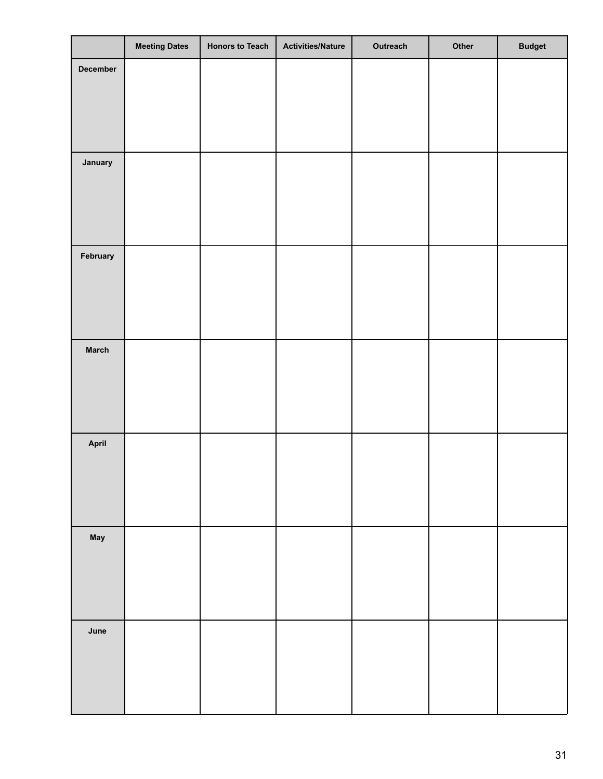|                 | <b>Meeting Dates</b> | <b>Honors to Teach</b> | <b>Activities/Nature</b> | Outreach | Other | <b>Budget</b> |
|-----------------|----------------------|------------------------|--------------------------|----------|-------|---------------|
| <b>December</b> |                      |                        |                          |          |       |               |
|                 |                      |                        |                          |          |       |               |
|                 |                      |                        |                          |          |       |               |
|                 |                      |                        |                          |          |       |               |
|                 |                      |                        |                          |          |       |               |
| January         |                      |                        |                          |          |       |               |
|                 |                      |                        |                          |          |       |               |
|                 |                      |                        |                          |          |       |               |
|                 |                      |                        |                          |          |       |               |
| February        |                      |                        |                          |          |       |               |
|                 |                      |                        |                          |          |       |               |
|                 |                      |                        |                          |          |       |               |
|                 |                      |                        |                          |          |       |               |
| <b>March</b>    |                      |                        |                          |          |       |               |
|                 |                      |                        |                          |          |       |               |
|                 |                      |                        |                          |          |       |               |
|                 |                      |                        |                          |          |       |               |
|                 |                      |                        |                          |          |       |               |
| April           |                      |                        |                          |          |       |               |
|                 |                      |                        |                          |          |       |               |
|                 |                      |                        |                          |          |       |               |
|                 |                      |                        |                          |          |       |               |
| May             |                      |                        |                          |          |       |               |
|                 |                      |                        |                          |          |       |               |
|                 |                      |                        |                          |          |       |               |
|                 |                      |                        |                          |          |       |               |
| June            |                      |                        |                          |          |       |               |
|                 |                      |                        |                          |          |       |               |
|                 |                      |                        |                          |          |       |               |
|                 |                      |                        |                          |          |       |               |
|                 |                      |                        |                          |          |       |               |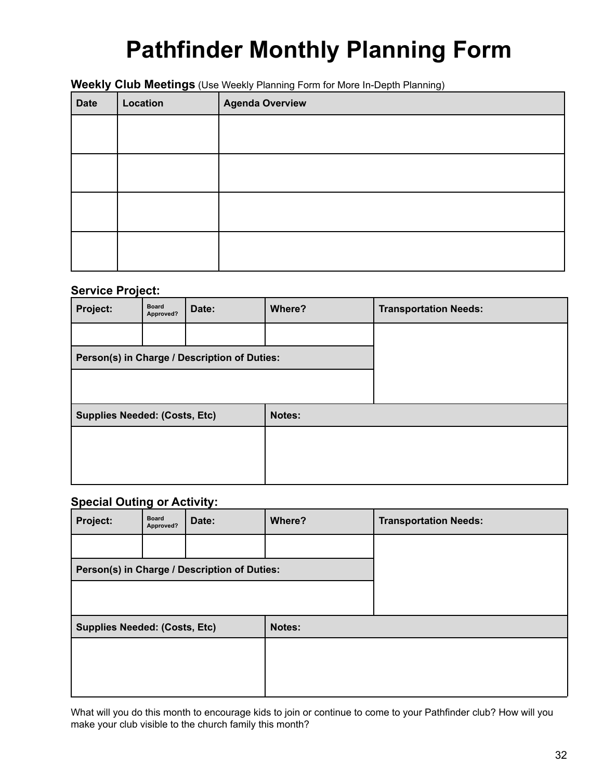# **Pathfinder Monthly Planning Form**

#### **Weekly Club Meetings** (Use Weekly Planning Form for More In-Depth Planning)

| <b>Date</b> | Location | <b>Agenda Overview</b> |
|-------------|----------|------------------------|
|             |          |                        |
|             |          |                        |
|             |          |                        |
|             |          |                        |
|             |          |                        |
|             |          |                        |
|             |          |                        |
|             |          |                        |

#### **Service Project:**

| Project:                                     | <b>Board</b><br>Approved? | Date:  | Where? | <b>Transportation Needs:</b> |
|----------------------------------------------|---------------------------|--------|--------|------------------------------|
|                                              |                           |        |        |                              |
| Person(s) in Charge / Description of Duties: |                           |        |        |                              |
|                                              |                           |        |        |                              |
| <b>Supplies Needed: (Costs, Etc)</b>         |                           | Notes: |        |                              |
|                                              |                           |        |        |                              |
|                                              |                           |        |        |                              |
|                                              |                           |        |        |                              |

#### **Special Outing or Activity:**

| Project:                                     | <b>Board</b><br>Approved? | Date:  | Where? | <b>Transportation Needs:</b> |
|----------------------------------------------|---------------------------|--------|--------|------------------------------|
|                                              |                           |        |        |                              |
| Person(s) in Charge / Description of Duties: |                           |        |        |                              |
|                                              |                           |        |        |                              |
| <b>Supplies Needed: (Costs, Etc)</b>         |                           | Notes: |        |                              |
|                                              |                           |        |        |                              |
|                                              |                           |        |        |                              |
|                                              |                           |        |        |                              |

What will you do this month to encourage kids to join or continue to come to your Pathfinder club? How will you make your club visible to the church family this month?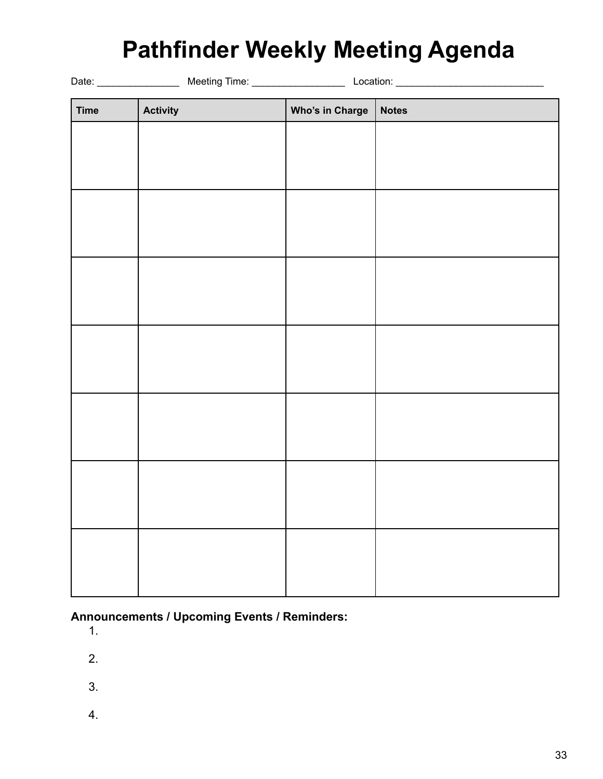### **Pathfinder Weekly Meeting Agenda**

| <b>Time</b> | <b>Activity</b> | Who's in Charge | <b>Notes</b> |
|-------------|-----------------|-----------------|--------------|
|             |                 |                 |              |
|             |                 |                 |              |
|             |                 |                 |              |
|             |                 |                 |              |
|             |                 |                 |              |
|             |                 |                 |              |
|             |                 |                 |              |
|             |                 |                 |              |
|             |                 |                 |              |
|             |                 |                 |              |
|             |                 |                 |              |
|             |                 |                 |              |
|             |                 |                 |              |
|             |                 |                 |              |
|             |                 |                 |              |
|             |                 |                 |              |
|             |                 |                 |              |
|             |                 |                 |              |
|             |                 |                 |              |
|             |                 |                 |              |
|             |                 |                 |              |

**Announcements / Upcoming Events / Reminders:**

1.

2.

- 
- 3.
- 4.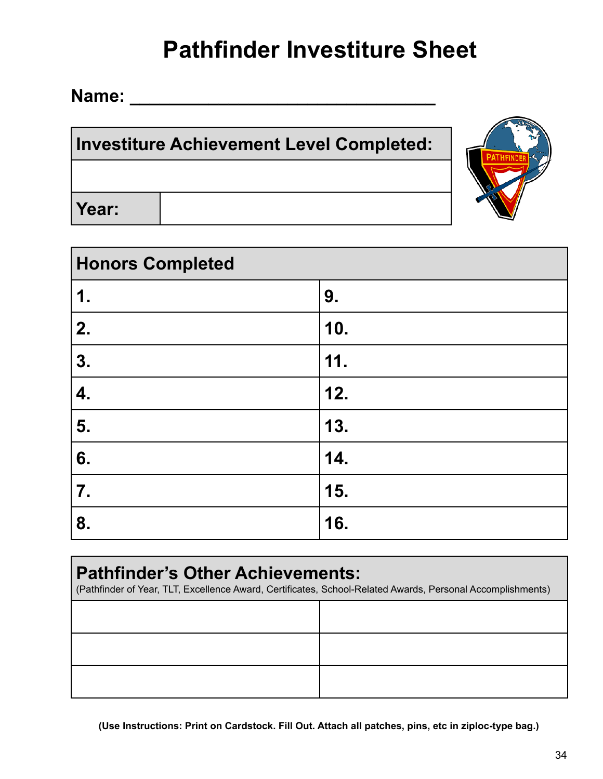# **Pathfinder Investiture Sheet**

**Name: \_\_\_\_\_\_\_\_\_\_\_\_\_\_\_\_\_\_\_\_\_\_\_\_\_\_\_\_\_\_\_**

### **Investiture Achievement Level Completed:**

**Year:**

| <b>Honors Completed</b> |     |  |  |
|-------------------------|-----|--|--|
| 1.                      | 9.  |  |  |
| 2.                      | 10. |  |  |
| 3.                      | 11. |  |  |
| 4.                      | 12. |  |  |
| 5.                      | 13. |  |  |
| 6.                      | 14. |  |  |
| 7.                      | 15. |  |  |
| 8.                      | 16. |  |  |

| <b>Pathfinder's Other Achievements:</b><br>(Pathfinder of Year, TLT, Excellence Award, Certificates, School-Related Awards, Personal Accomplishments) |  |  |  |  |
|-------------------------------------------------------------------------------------------------------------------------------------------------------|--|--|--|--|
|                                                                                                                                                       |  |  |  |  |
|                                                                                                                                                       |  |  |  |  |
|                                                                                                                                                       |  |  |  |  |

**(Use Instructions: Print on Cardstock. Fill Out. Attach all patches, pins, etc in ziploc-type bag.)**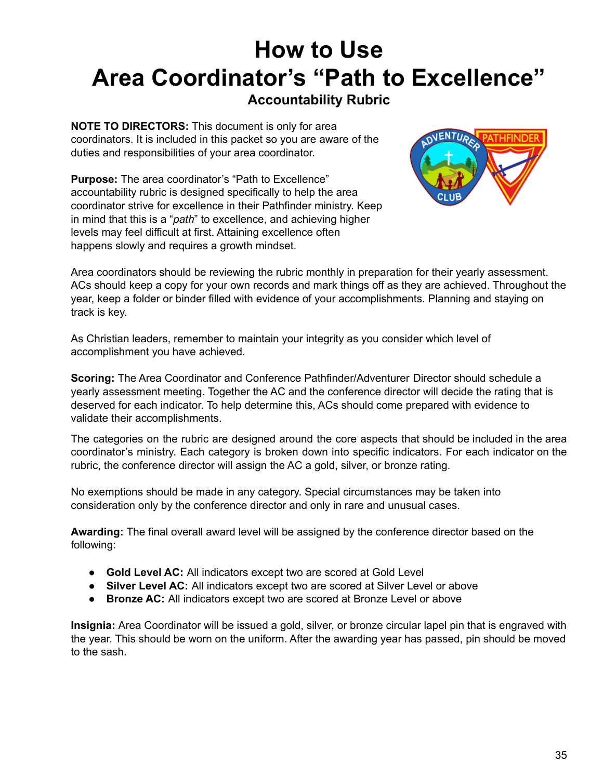# **How to Use Area Coordinator's "Path to Excellence"**

#### **Accountability Rubric**

**NOTE TO DIRECTORS:** This document is only for area coordinators. It is included in this packet so you are aware of the duties and responsibilities of your area coordinator.

**Purpose:** The area coordinator's "Path to Excellence" accountability rubric is designed specifically to help the area coordinator strive for excellence in their Pathfinder ministry. Keep in mind that this is a "*path*" to excellence, and achieving higher levels may feel difficult at first. Attaining excellence often happens slowly and requires a growth mindset.



Area coordinators should be reviewing the rubric monthly in preparation for their yearly assessment. ACs should keep a copy for your own records and mark things off as they are achieved. Throughout the year, keep a folder or binder filled with evidence of your accomplishments. Planning and staying on track is key.

As Christian leaders, remember to maintain your integrity as you consider which level of accomplishment you have achieved.

**Scoring:** The Area Coordinator and Conference Pathfinder/Adventurer Director should schedule a yearly assessment meeting. Together the AC and the conference director will decide the rating that is deserved for each indicator. To help determine this, ACs should come prepared with evidence to validate their accomplishments.

The categories on the rubric are designed around the core aspects that should be included in the area coordinator's ministry. Each category is broken down into specific indicators. For each indicator on the rubric, the conference director will assign the AC a gold, silver, or bronze rating.

No exemptions should be made in any category. Special circumstances may be taken into consideration only by the conference director and only in rare and unusual cases.

**Awarding:** The final overall award level will be assigned by the conference director based on the following:

- **Gold Level AC:** All indicators except two are scored at Gold Level
- **Silver Level AC:** All indicators except two are scored at Silver Level or above
- **Bronze AC:** All indicators except two are scored at Bronze Level or above

**Insignia:** Area Coordinator will be issued a gold, silver, or bronze circular lapel pin that is engraved with the year. This should be worn on the uniform. After the awarding year has passed, pin should be moved to the sash.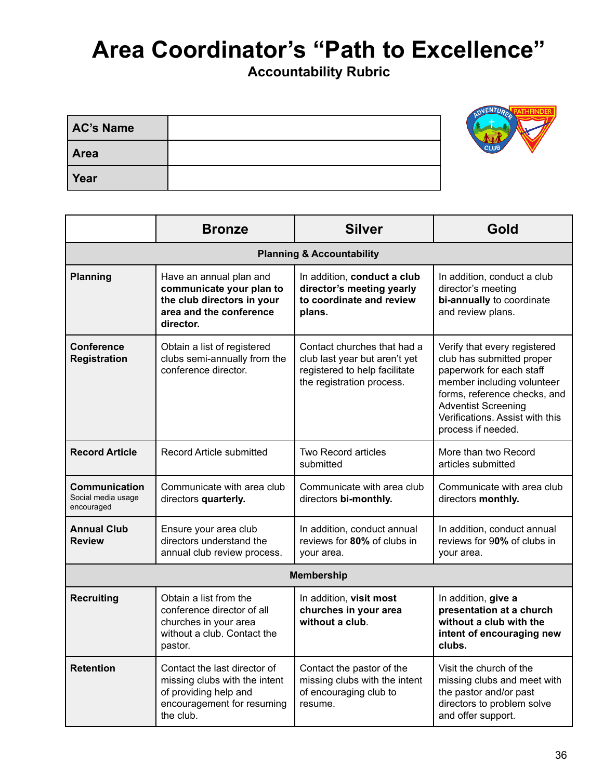# **Area Coordinator's "Path to Excellence"**

**Accountability Rubric**

| <b>AC's Name</b> | $\sim$ $\sim$ $\sim$ |
|------------------|----------------------|
| Area             | $\sim$               |
| Year             |                      |

|                                                                                                                                                       | <b>Bronze</b>                                                                                                             | <b>Silver</b>                                                                                                              | Gold                                                                                                                                                                                                                                       |  |  |
|-------------------------------------------------------------------------------------------------------------------------------------------------------|---------------------------------------------------------------------------------------------------------------------------|----------------------------------------------------------------------------------------------------------------------------|--------------------------------------------------------------------------------------------------------------------------------------------------------------------------------------------------------------------------------------------|--|--|
|                                                                                                                                                       | <b>Planning &amp; Accountability</b>                                                                                      |                                                                                                                            |                                                                                                                                                                                                                                            |  |  |
| <b>Planning</b>                                                                                                                                       | Have an annual plan and<br>communicate your plan to<br>the club directors in your<br>area and the conference<br>director. | In addition, conduct a club<br>director's meeting yearly<br>to coordinate and review<br>plans.                             | In addition, conduct a club<br>director's meeting<br>bi-annually to coordinate<br>and review plans.                                                                                                                                        |  |  |
| <b>Conference</b><br><b>Registration</b>                                                                                                              | Obtain a list of registered<br>clubs semi-annually from the<br>conference director.                                       | Contact churches that had a<br>club last year but aren't yet<br>registered to help facilitate<br>the registration process. | Verify that every registered<br>club has submitted proper<br>paperwork for each staff<br>member including volunteer<br>forms, reference checks, and<br><b>Adventist Screening</b><br>Verifications. Assist with this<br>process if needed. |  |  |
| <b>Record Article</b><br>Record Article submitted                                                                                                     |                                                                                                                           | <b>Two Record articles</b><br>submitted                                                                                    | More than two Record<br>articles submitted                                                                                                                                                                                                 |  |  |
| <b>Communication</b><br>Communicate with area club<br>Social media usage<br>directors quarterly.<br>encouraged                                        |                                                                                                                           | Communicate with area club<br>directors bi-monthly.                                                                        | Communicate with area club<br>directors monthly.                                                                                                                                                                                           |  |  |
| <b>Annual Club</b><br>Ensure your area club<br>directors understand the<br><b>Review</b><br>annual club review process.                               |                                                                                                                           | In addition, conduct annual<br>reviews for 80% of clubs in<br>your area.                                                   | In addition, conduct annual<br>reviews for 90% of clubs in<br>your area.                                                                                                                                                                   |  |  |
|                                                                                                                                                       |                                                                                                                           | <b>Membership</b>                                                                                                          |                                                                                                                                                                                                                                            |  |  |
| <b>Recruiting</b><br>Obtain a list from the<br>conference director of all<br>churches in your area<br>without a club. Contact the<br>pastor.          |                                                                                                                           | In addition, visit most<br>churches in your area<br>without a club.                                                        | In addition, give a<br>presentation at a church<br>without a club with the<br>intent of encouraging new<br>clubs.                                                                                                                          |  |  |
| <b>Retention</b><br>Contact the last director of<br>missing clubs with the intent<br>of providing help and<br>encouragement for resuming<br>the club. |                                                                                                                           | Contact the pastor of the<br>missing clubs with the intent<br>of encouraging club to<br>resume.                            | Visit the church of the<br>missing clubs and meet with<br>the pastor and/or past<br>directors to problem solve<br>and offer support.                                                                                                       |  |  |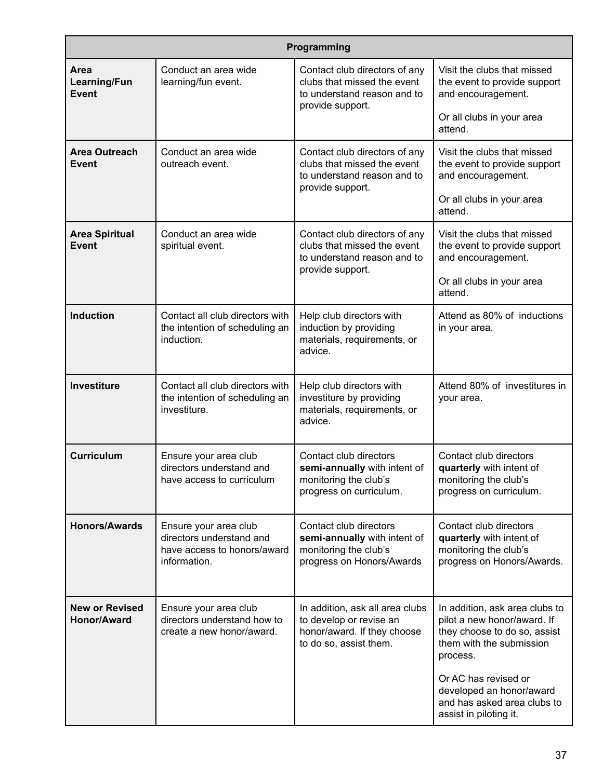| Programming                                                                         |                                                                                                  |                                                                                                                     |                                                                                                                                       |  |
|-------------------------------------------------------------------------------------|--------------------------------------------------------------------------------------------------|---------------------------------------------------------------------------------------------------------------------|---------------------------------------------------------------------------------------------------------------------------------------|--|
| Conduct an area wide<br>Area<br>learning/fun event.<br>Learning/Fun<br><b>Event</b> |                                                                                                  | Contact club directors of any<br>clubs that missed the event<br>to understand reason and to<br>provide support.     | Visit the clubs that missed<br>the event to provide support<br>and encouragement.                                                     |  |
|                                                                                     |                                                                                                  |                                                                                                                     | Or all clubs in your area<br>attend.                                                                                                  |  |
| <b>Area Outreach</b><br><b>Event</b>                                                | Conduct an area wide<br>outreach event.                                                          | Contact club directors of any<br>clubs that missed the event<br>to understand reason and to<br>provide support.     | Visit the clubs that missed<br>the event to provide support<br>and encouragement.                                                     |  |
|                                                                                     |                                                                                                  |                                                                                                                     | Or all clubs in your area<br>attend.                                                                                                  |  |
| <b>Area Spiritual</b><br><b>Event</b>                                               | Conduct an area wide<br>spiritual event.                                                         | Contact club directors of any<br>clubs that missed the event<br>to understand reason and to<br>provide support.     | Visit the clubs that missed<br>the event to provide support<br>and encouragement.                                                     |  |
|                                                                                     |                                                                                                  |                                                                                                                     | Or all clubs in your area<br>attend.                                                                                                  |  |
| <b>Induction</b>                                                                    | Contact all club directors with<br>the intention of scheduling an<br>induction.                  | Help club directors with<br>induction by providing<br>materials, requirements, or<br>advice.                        | Attend as 80% of inductions<br>in your area.                                                                                          |  |
| <b>Investiture</b>                                                                  | Contact all club directors with<br>the intention of scheduling an<br>investiture.                | Help club directors with<br>investiture by providing<br>materials, requirements, or<br>advice.                      | Attend 80% of investitures in<br>your area.                                                                                           |  |
| <b>Curriculum</b>                                                                   | Ensure your area club<br>directors understand and<br>have access to curriculum                   | Contact club directors<br>semi-annually with intent of<br>monitoring the club's<br>progress on curriculum.          | Contact club directors<br>quarterly with intent of<br>monitoring the club's<br>progress on curriculum.                                |  |
| <b>Honors/Awards</b>                                                                | Ensure your area club<br>directors understand and<br>have access to honors/award<br>information. | Contact club directors<br>semi-annually with intent of<br>monitoring the club's<br>progress on Honors/Awards        | Contact club directors<br>quarterly with intent of<br>monitoring the club's<br>progress on Honors/Awards.                             |  |
| <b>New or Revised</b><br>Honor/Award                                                | Ensure your area club<br>directors understand how to<br>create a new honor/award.                | In addition, ask all area clubs<br>to develop or revise an<br>honor/award. If they choose<br>to do so, assist them. | In addition, ask area clubs to<br>pilot a new honor/award. If<br>they choose to do so, assist<br>them with the submission<br>process. |  |
|                                                                                     |                                                                                                  |                                                                                                                     | Or AC has revised or<br>developed an honor/award<br>and has asked area clubs to<br>assist in piloting it.                             |  |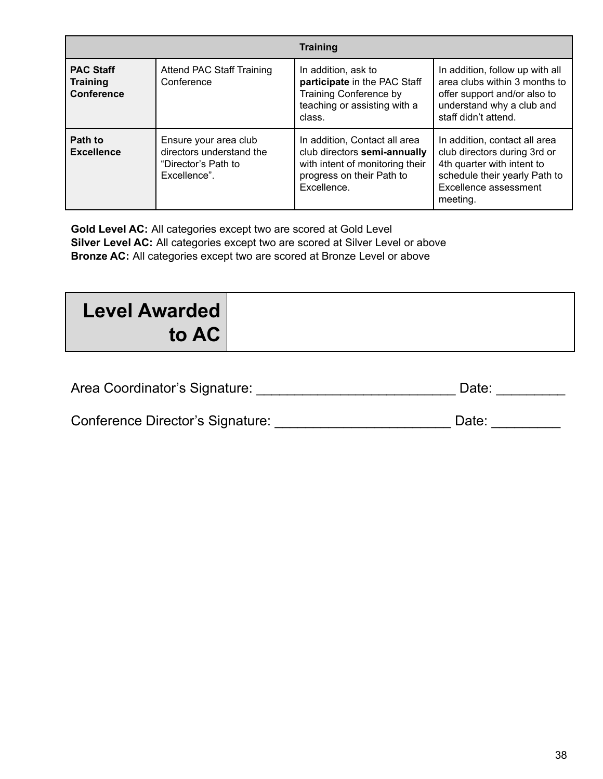|                                                          |                                                                                         | <b>Training</b>                                                                                                                              |                                                                                                                                                                   |
|----------------------------------------------------------|-----------------------------------------------------------------------------------------|----------------------------------------------------------------------------------------------------------------------------------------------|-------------------------------------------------------------------------------------------------------------------------------------------------------------------|
| <b>PAC Staff</b><br><b>Training</b><br><b>Conference</b> | Attend PAC Staff Training<br>Conference                                                 | In addition, ask to<br>participate in the PAC Staff<br>Training Conference by<br>teaching or assisting with a<br>class.                      | In addition, follow up with all<br>area clubs within 3 months to<br>offer support and/or also to<br>understand why a club and<br>staff didn't attend.             |
| Path to<br><b>Excellence</b>                             | Ensure your area club<br>directors understand the<br>"Director's Path to<br>Excellence" | In addition, Contact all area<br>club directors semi-annually<br>with intent of monitoring their<br>progress on their Path to<br>Excellence. | In addition, contact all area<br>club directors during 3rd or<br>4th quarter with intent to<br>schedule their yearly Path to<br>Excellence assessment<br>meeting. |

**Gold Level AC:** All categories except two are scored at Gold Level **Silver Level AC:** All categories except two are scored at Silver Level or above **Bronze AC:** All categories except two are scored at Bronze Level or above

| <b>Level Awarded</b> |  |
|----------------------|--|
| to AC                |  |

| Area Coordinator's Signature: | Date: |  |
|-------------------------------|-------|--|
|-------------------------------|-------|--|

| Conference Director's Signature: | Date: |  |
|----------------------------------|-------|--|
|                                  |       |  |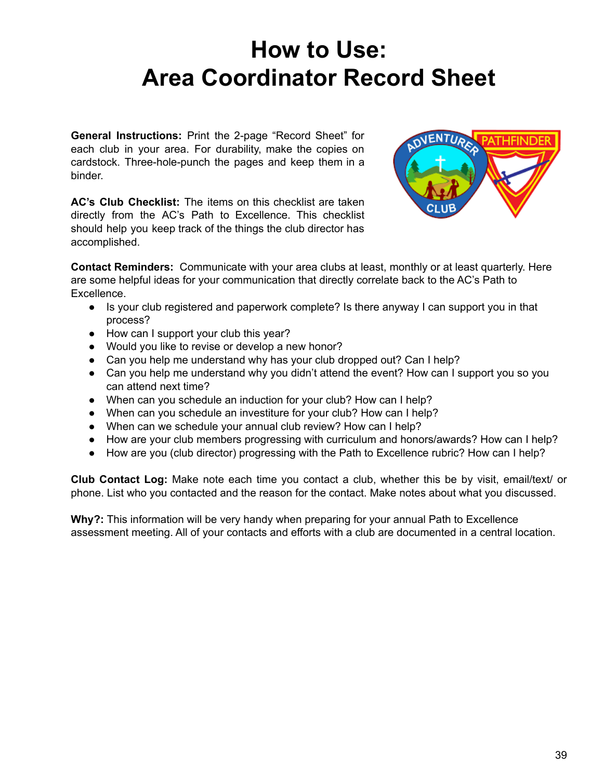### **How to Use: Area Coordinator Record Sheet**

**General Instructions:** Print the 2-page "Record Sheet" for each club in your area. For durability, make the copies on cardstock. Three-hole-punch the pages and keep them in a binder.

**AC's Club Checklist:** The items on this checklist are taken directly from the AC's Path to Excellence. This checklist should help you keep track of the things the club director has accomplished.



**Contact Reminders:** Communicate with your area clubs at least, monthly or at least quarterly. Here are some helpful ideas for your communication that directly correlate back to the AC's Path to Excellence.

- Is your club registered and paperwork complete? Is there anyway I can support you in that process?
- How can I support your club this year?
- Would you like to revise or develop a new honor?
- Can you help me understand why has your club dropped out? Can I help?
- Can you help me understand why you didn't attend the event? How can I support you so you can attend next time?
- When can you schedule an induction for your club? How can I help?
- When can you schedule an investiture for your club? How can I help?
- When can we schedule your annual club review? How can I help?
- How are your club members progressing with curriculum and honors/awards? How can I help?
- How are you (club director) progressing with the Path to Excellence rubric? How can I help?

**Club Contact Log:** Make note each time you contact a club, whether this be by visit, email/text/ or phone. List who you contacted and the reason for the contact. Make notes about what you discussed.

**Why?:** This information will be very handy when preparing for your annual Path to Excellence assessment meeting. All of your contacts and efforts with a club are documented in a central location.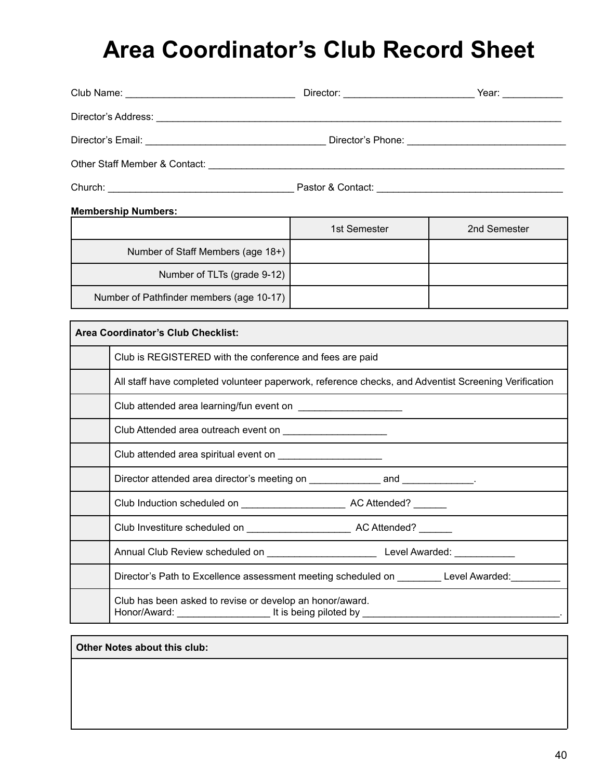### **Area Coordinator's Club Record Sheet**

| Director's Email: ___________________________________Director's Phone: _____________________________                                                                                                                           |              |              |
|--------------------------------------------------------------------------------------------------------------------------------------------------------------------------------------------------------------------------------|--------------|--------------|
|                                                                                                                                                                                                                                |              |              |
| Church: Church: Church Church Church Church Church Church Church Church Church Church Church Church Church Church Church Church Church Church Church Church Church Church Church Church Church Church Church Church Church Chu |              |              |
| <b>Membership Numbers:</b>                                                                                                                                                                                                     |              |              |
|                                                                                                                                                                                                                                | 1st Semester | 2nd Semester |
| Number of Staff Members (age 18+)                                                                                                                                                                                              |              |              |
| Number of TLTs (grade 9-12)                                                                                                                                                                                                    |              |              |
| Number of Pathfinder members (age 10-17)                                                                                                                                                                                       |              |              |
| Area Coordinator's Club Checklist:                                                                                                                                                                                             |              |              |
|                                                                                                                                                                                                                                |              |              |
| Club is REGISTERED with the conference and fees are paid                                                                                                                                                                       |              |              |
| All staff have completed volunteer paperwork, reference checks, and Adventist Screening Verification                                                                                                                           |              |              |
| Club attended area learning/fun event on ______________________                                                                                                                                                                |              |              |
| Club Attended area outreach event on                                                                                                                                                                                           |              |              |
| Club attended area spiritual event on ______________________                                                                                                                                                                   |              |              |
|                                                                                                                                                                                                                                |              |              |
|                                                                                                                                                                                                                                |              |              |
|                                                                                                                                                                                                                                |              |              |
|                                                                                                                                                                                                                                |              |              |

Director's Path to Excellence assessment meeting scheduled on \_\_\_\_\_\_\_\_\_ Level Awarded: Club has been asked to revise or develop an honor/award. Honor/Award: \_\_\_\_\_\_\_\_\_\_\_\_\_\_\_\_\_ It is being piloted by \_\_\_\_\_\_\_\_\_\_\_\_\_\_\_\_\_\_\_\_\_\_\_\_\_\_\_\_\_\_\_\_\_\_\_\_.

#### **Other Notes about this club:**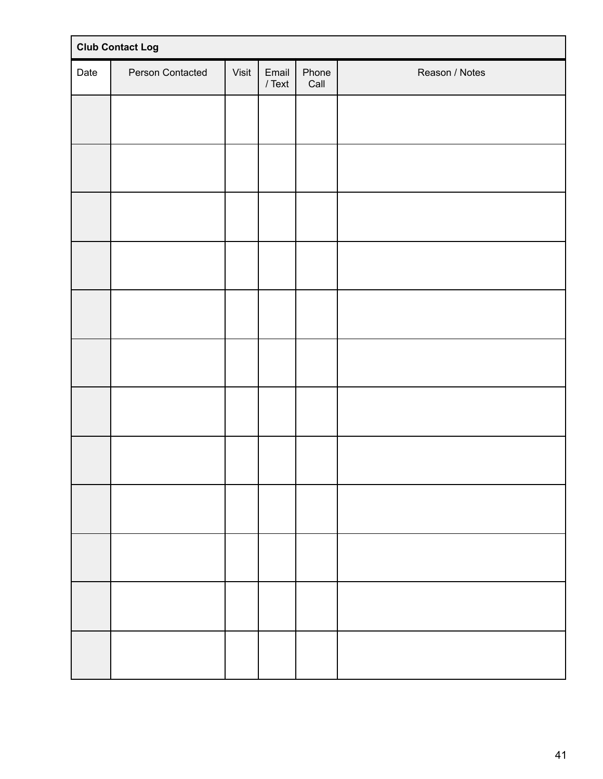| <b>Club Contact Log</b> |                  |       |                   |               |                |
|-------------------------|------------------|-------|-------------------|---------------|----------------|
| Date                    | Person Contacted | Visit | Email<br>$/$ Text | Phone<br>Call | Reason / Notes |
|                         |                  |       |                   |               |                |
|                         |                  |       |                   |               |                |
|                         |                  |       |                   |               |                |
|                         |                  |       |                   |               |                |
|                         |                  |       |                   |               |                |
|                         |                  |       |                   |               |                |
|                         |                  |       |                   |               |                |
|                         |                  |       |                   |               |                |
|                         |                  |       |                   |               |                |
|                         |                  |       |                   |               |                |
|                         |                  |       |                   |               |                |
|                         |                  |       |                   |               |                |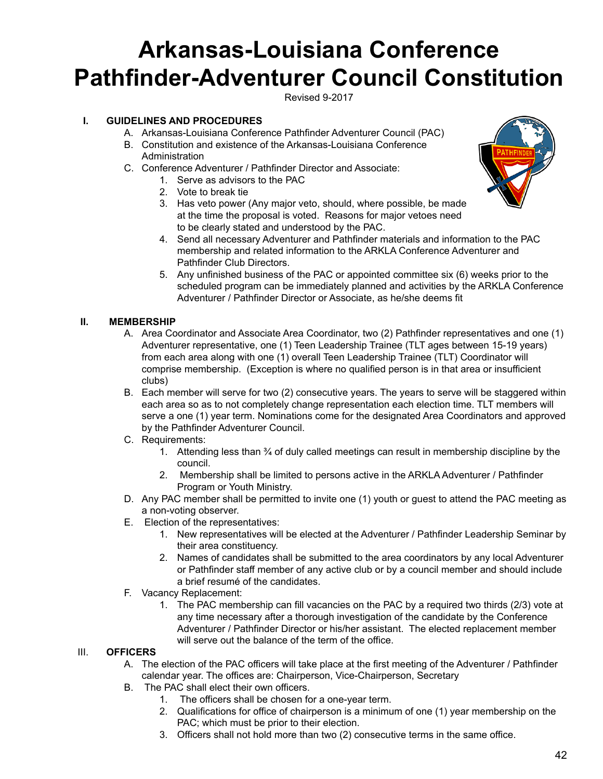### **Arkansas-Louisiana Conference Pathfinder-Adventurer Council Constitution**

Revised 9-2017

#### **I. GUIDELINES AND PROCEDURES**

- A. Arkansas-Louisiana Conference Pathfinder Adventurer Council (PAC)
- B. Constitution and existence of the Arkansas-Louisiana Conference **Administration**
- C. Conference Adventurer / Pathfinder Director and Associate:
	- 1. Serve as advisors to the PAC
	- 2. Vote to break tie
	- 3. Has veto power (Any major veto, should, where possible, be made at the time the proposal is voted. Reasons for major vetoes need to be clearly stated and understood by the PAC.



- 4. Send all necessary Adventurer and Pathfinder materials and information to the PAC membership and related information to the ARKLA Conference Adventurer and Pathfinder Club Directors.
- 5. Any unfinished business of the PAC or appointed committee six (6) weeks prior to the scheduled program can be immediately planned and activities by the ARKLA Conference Adventurer / Pathfinder Director or Associate, as he/she deems fit

#### **II. MEMBERSHIP**

- A. Area Coordinator and Associate Area Coordinator, two (2) Pathfinder representatives and one (1) Adventurer representative, one (1) Teen Leadership Trainee (TLT ages between 15-19 years) from each area along with one (1) overall Teen Leadership Trainee (TLT) Coordinator will comprise membership. (Exception is where no qualified person is in that area or insufficient clubs)
- B. Each member will serve for two (2) consecutive years. The years to serve will be staggered within each area so as to not completely change representation each election time. TLT members will serve a one (1) year term. Nominations come for the designated Area Coordinators and approved by the Pathfinder Adventurer Council.
- C. Requirements:
	- 1. Attending less than ¾ of duly called meetings can result in membership discipline by the council.
	- 2. Membership shall be limited to persons active in the ARKLA Adventurer / Pathfinder Program or Youth Ministry.
- D. Any PAC member shall be permitted to invite one (1) youth or guest to attend the PAC meeting as a non-voting observer.
- E. Election of the representatives:
	- 1. New representatives will be elected at the Adventurer / Pathfinder Leadership Seminar by their area constituency.
	- 2. Names of candidates shall be submitted to the area coordinators by any local Adventurer or Pathfinder staff member of any active club or by a council member and should include a brief resumé of the candidates.
- F. Vacancy Replacement:
	- 1. The PAC membership can fill vacancies on the PAC by a required two thirds (2/3) vote at any time necessary after a thorough investigation of the candidate by the Conference Adventurer / Pathfinder Director or his/her assistant. The elected replacement member will serve out the balance of the term of the office.

#### III. **OFFICERS**

- A. The election of the PAC officers will take place at the first meeting of the Adventurer / Pathfinder calendar year. The offices are: Chairperson, Vice-Chairperson, Secretary
- B. The PAC shall elect their own officers.
	- 1. The officers shall be chosen for a one-year term.
	- 2. Qualifications for office of chairperson is a minimum of one (1) year membership on the PAC; which must be prior to their election.
	- 3. Officers shall not hold more than two (2) consecutive terms in the same office.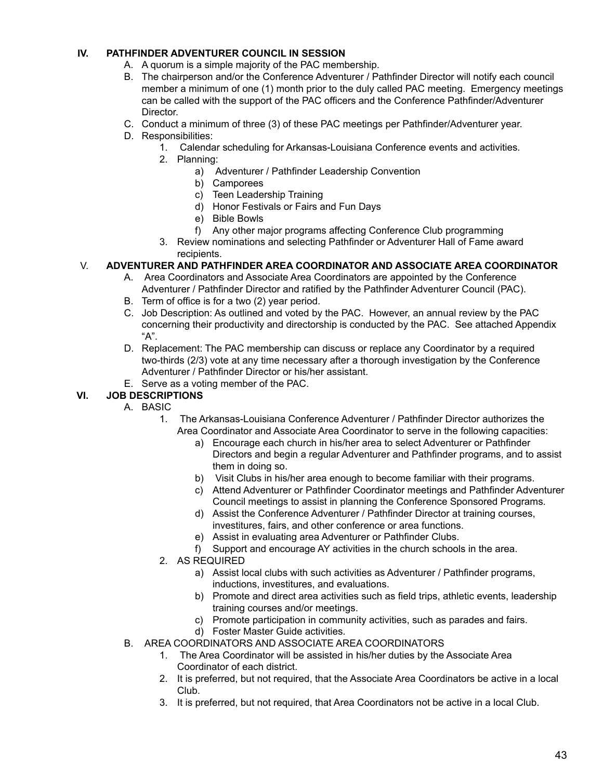#### **IV. PATHFINDER ADVENTURER COUNCIL IN SESSION**

- A. A quorum is a simple majority of the PAC membership.
- B. The chairperson and/or the Conference Adventurer / Pathfinder Director will notify each council member a minimum of one (1) month prior to the duly called PAC meeting. Emergency meetings can be called with the support of the PAC officers and the Conference Pathfinder/Adventurer Director.
- C. Conduct a minimum of three (3) of these PAC meetings per Pathfinder/Adventurer year.
- D. Responsibilities:
	- 1. Calendar scheduling for Arkansas-Louisiana Conference events and activities.
	- 2. Planning:
		- a) Adventurer / Pathfinder Leadership Convention
		- b) Camporees
		- c) Teen Leadership Training
		- d) Honor Festivals or Fairs and Fun Days
		- e) Bible Bowls
		- f) Any other major programs affecting Conference Club programming
	- 3. Review nominations and selecting Pathfinder or Adventurer Hall of Fame award recipients.

#### V. **ADVENTURER AND PATHFINDER AREA COORDINATOR AND ASSOCIATE AREA COORDINATOR**

- A. Area Coordinators and Associate Area Coordinators are appointed by the Conference Adventurer / Pathfinder Director and ratified by the Pathfinder Adventurer Council (PAC).
- B. Term of office is for a two (2) year period.
- C. Job Description: As outlined and voted by the PAC. However, an annual review by the PAC concerning their productivity and directorship is conducted by the PAC. See attached Appendix "A".
- D. Replacement: The PAC membership can discuss or replace any Coordinator by a required two-thirds (2/3) vote at any time necessary after a thorough investigation by the Conference Adventurer / Pathfinder Director or his/her assistant.
- E. Serve as a voting member of the PAC.

#### **VI. JOB DESCRIPTIONS**

- A. BASIC
	- 1. The Arkansas-Louisiana Conference Adventurer / Pathfinder Director authorizes the Area Coordinator and Associate Area Coordinator to serve in the following capacities:
		- a) Encourage each church in his/her area to select Adventurer or Pathfinder Directors and begin a regular Adventurer and Pathfinder programs, and to assist them in doing so.
		- b) Visit Clubs in his/her area enough to become familiar with their programs.
		- c) Attend Adventurer or Pathfinder Coordinator meetings and Pathfinder Adventurer Council meetings to assist in planning the Conference Sponsored Programs.
		- d) Assist the Conference Adventurer / Pathfinder Director at training courses, investitures, fairs, and other conference or area functions.
		- e) Assist in evaluating area Adventurer or Pathfinder Clubs.
		- f) Support and encourage AY activities in the church schools in the area.
	- 2. AS REQUIRED
		- a) Assist local clubs with such activities as Adventurer / Pathfinder programs, inductions, investitures, and evaluations.
		- b) Promote and direct area activities such as field trips, athletic events, leadership training courses and/or meetings.
		- c) Promote participation in community activities, such as parades and fairs.
		- d) Foster Master Guide activities.
- B. AREA COORDINATORS AND ASSOCIATE AREA COORDINATORS
	- 1. The Area Coordinator will be assisted in his/her duties by the Associate Area Coordinator of each district.
	- 2. It is preferred, but not required, that the Associate Area Coordinators be active in a local Club.
	- 3. It is preferred, but not required, that Area Coordinators not be active in a local Club.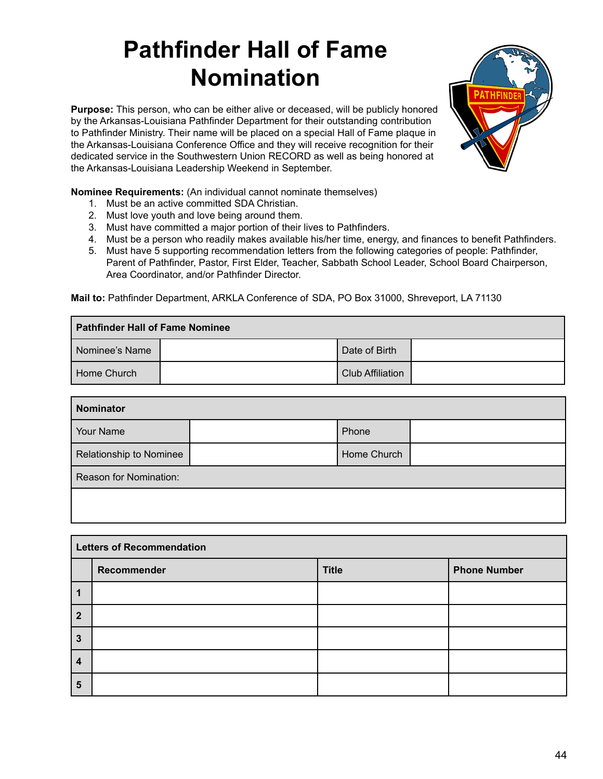### **Pathfinder Hall of Fame Nomination**

**Purpose:** This person, who can be either alive or deceased, will be publicly honored by the Arkansas-Louisiana Pathfinder Department for their outstanding contribution to Pathfinder Ministry. Their name will be placed on a special Hall of Fame plaque in the Arkansas-Louisiana Conference Office and they will receive recognition for their dedicated service in the Southwestern Union RECORD as well as being honored at the Arkansas-Louisiana Leadership Weekend in September.



**Nominee Requirements:** (An individual cannot nominate themselves)

- 1. Must be an active committed SDA Christian.
- 2. Must love youth and love being around them.
- 3. Must have committed a major portion of their lives to Pathfinders.
- 4. Must be a person who readily makes available his/her time, energy, and finances to benefit Pathfinders.
- 5. Must have 5 supporting recommendation letters from the following categories of people: Pathfinder, Parent of Pathfinder, Pastor, First Elder, Teacher, Sabbath School Leader, School Board Chairperson, Area Coordinator, and/or Pathfinder Director.

**Mail to:** Pathfinder Department, ARKLA Conference of SDA, PO Box 31000, Shreveport, LA 71130

| Pathfinder Hall of Fame Nominee |  |                         |  |
|---------------------------------|--|-------------------------|--|
| Nominee's Name                  |  | Date of Birth           |  |
| Home Church                     |  | <b>Club Affiliation</b> |  |

| <b>Nominator</b>        |  |             |  |
|-------------------------|--|-------------|--|
| Your Name               |  | Phone       |  |
| Relationship to Nominee |  | Home Church |  |
| Reason for Nomination:  |  |             |  |
|                         |  |             |  |

| <b>Letters of Recommendation</b> |             |              |                     |
|----------------------------------|-------------|--------------|---------------------|
|                                  | Recommender | <b>Title</b> | <b>Phone Number</b> |
|                                  |             |              |                     |
| $\overline{2}$                   |             |              |                     |
| $\overline{3}$                   |             |              |                     |
| $\overline{4}$                   |             |              |                     |
| 5                                |             |              |                     |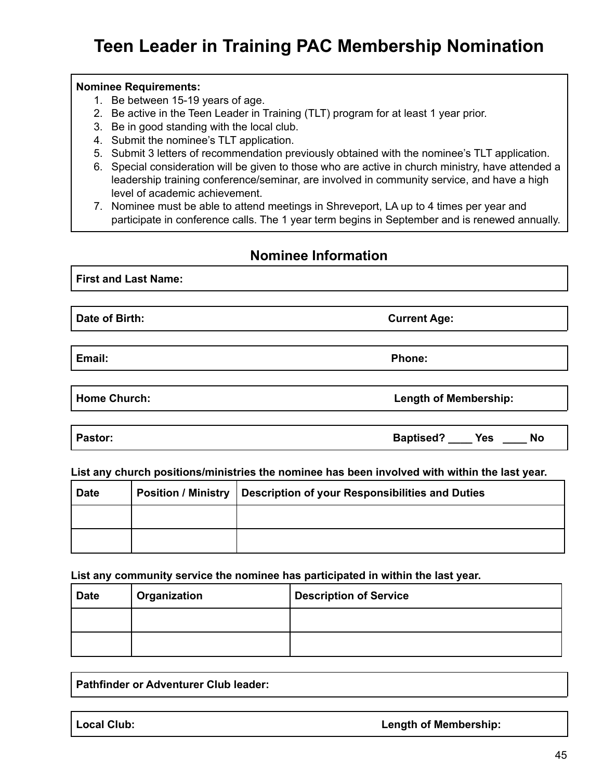### **Teen Leader in Training PAC Membership Nomination**

#### **Nominee Requirements:**

- 1. Be between 15-19 years of age.
- 2. Be active in the Teen Leader in Training (TLT) program for at least 1 year prior.
- 3. Be in good standing with the local club.
- 4. Submit the nominee's TLT application.
- 5. Submit 3 letters of recommendation previously obtained with the nominee's TLT application.
- 6. Special consideration will be given to those who are active in church ministry, have attended a leadership training conference/seminar, are involved in community service, and have a high level of academic achievement.
- 7. Nominee must be able to attend meetings in Shreveport, LA up to 4 times per year and participate in conference calls. The 1 year term begins in September and is renewed annually.

#### **Nominee Information**

**First and Last Name:**

**Date of Birth: Current Age:**

**Email: Phone:**

**Home Church: Length of Membership:**

**Pastor: Baptised? \_\_\_\_ Yes \_\_\_\_ No**

#### **List any church positions/ministries the nominee has been involved with within the last year.**

| <b>Date</b> | Position / Ministry   Description of your Responsibilities and Duties |
|-------------|-----------------------------------------------------------------------|
|             |                                                                       |
|             |                                                                       |

**List any community service the nominee has participated in within the last year.**

| <b>Date</b> | <b>Organization</b> | <b>Description of Service</b> |
|-------------|---------------------|-------------------------------|
|             |                     |                               |
|             |                     |                               |

**Pathfinder or Adventurer Club leader:**

**Local Club: Length of Membership:**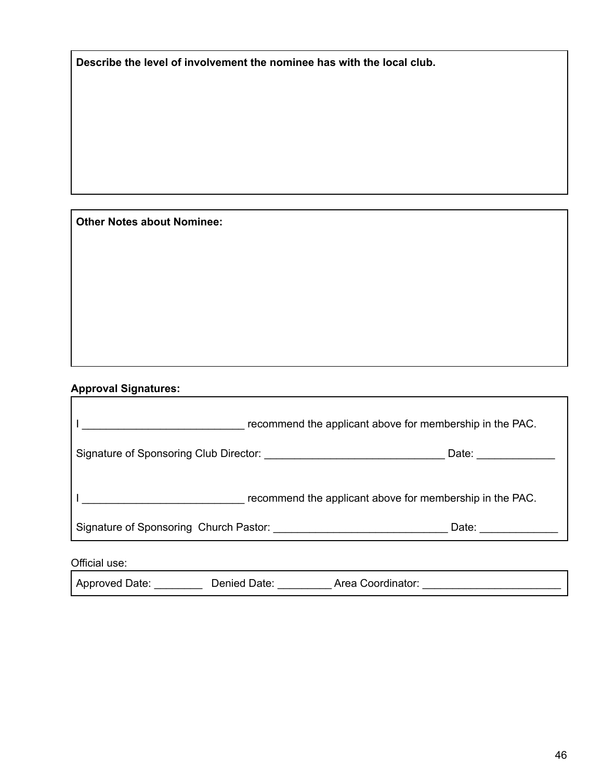**Describe the level of involvement the nominee has with the local club.**

**Other Notes about Nominee:**

#### **Approval Signatures:**

|                                                          | Date: _____________    |
|----------------------------------------------------------|------------------------|
| recommend the applicant above for membership in the PAC. |                        |
|                                                          | Date: ________________ |
|                                                          |                        |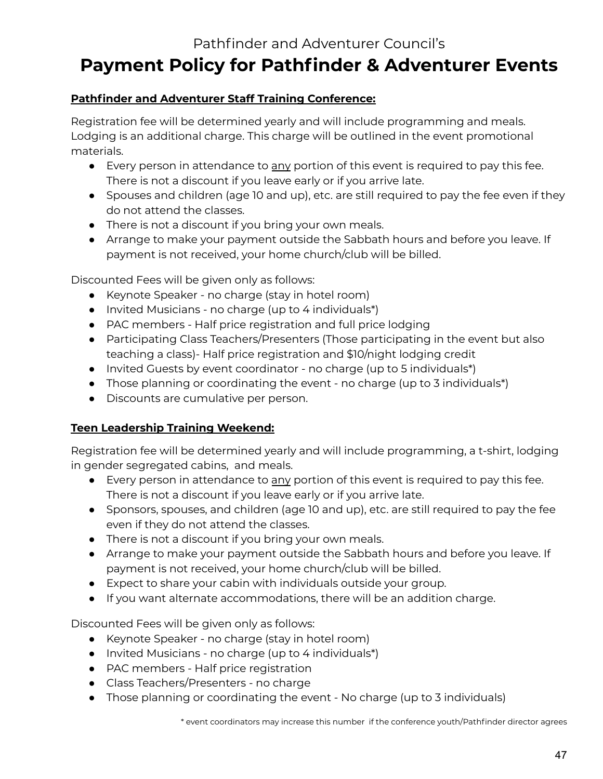### Pathfinder and Adventurer Council's **Payment Policy for Pathfinder & Adventurer Events**

#### **Pathfinder and Adventurer Staff Training Conference:**

Registration fee will be determined yearly and will include programming and meals. Lodging is an additional charge. This charge will be outlined in the event promotional materials.

- Every person in attendance to any portion of this event is required to pay this fee. There is not a discount if you leave early or if you arrive late.
- Spouses and children (age 10 and up), etc. are still required to pay the fee even if they do not attend the classes.
- There is not a discount if you bring your own meals.
- Arrange to make your payment outside the Sabbath hours and before you leave. If payment is not received, your home church/club will be billed.

Discounted Fees will be given only as follows:

- Keynote Speaker no charge (stay in hotel room)
- Invited Musicians no charge (up to 4 individuals\*)
- PAC members Half price registration and full price lodging
- Participating Class Teachers/Presenters (Those participating in the event but also teaching a class)- Half price registration and \$10/night lodging credit
- Invited Guests by event coordinator no charge (up to 5 individuals\*)
- Those planning or coordinating the event no charge (up to 3 individuals\*)
- Discounts are cumulative per person.

#### **Teen Leadership Training Weekend:**

Registration fee will be determined yearly and will include programming, a t-shirt, lodging in gender segregated cabins, and meals.

- Every person in attendance to any portion of this event is required to pay this fee. There is not a discount if you leave early or if you arrive late.
- Sponsors, spouses, and children (age 10 and up), etc. are still required to pay the fee even if they do not attend the classes.
- There is not a discount if you bring your own meals.
- Arrange to make your payment outside the Sabbath hours and before you leave. If payment is not received, your home church/club will be billed.
- Expect to share your cabin with individuals outside your group.
- If you want alternate accommodations, there will be an addition charge.

Discounted Fees will be given only as follows:

- Keynote Speaker no charge (stay in hotel room)
- Invited Musicians no charge (up to 4 individuals\*)
- PAC members Half price registration
- Class Teachers/Presenters no charge
- Those planning or coordinating the event No charge (up to 3 individuals)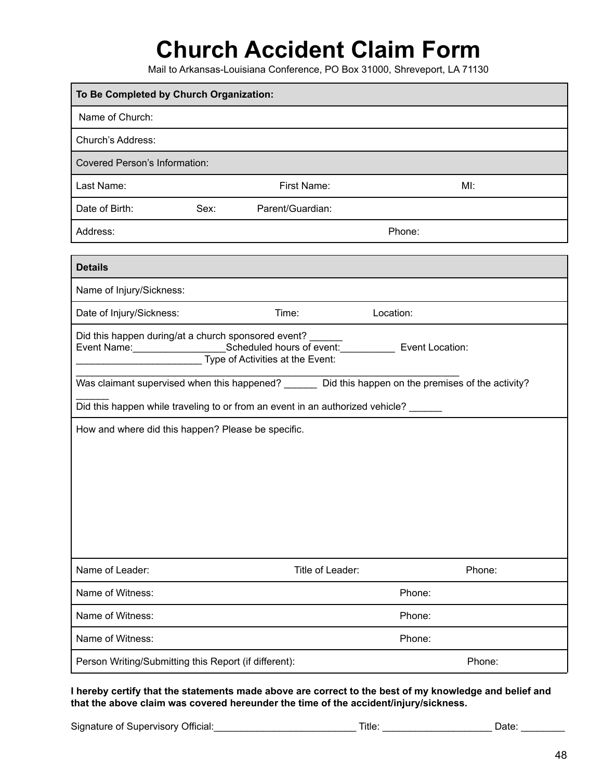### **Church Accident Claim Form**

Mail to Arkansas-Louisiana Conference, PO Box 31000, Shreveport, LA 71130

| To Be Completed by Church Organization:                                                                                                                     |        |                  |           |        |  |  |  |
|-------------------------------------------------------------------------------------------------------------------------------------------------------------|--------|------------------|-----------|--------|--|--|--|
| Name of Church:                                                                                                                                             |        |                  |           |        |  |  |  |
| Church's Address:                                                                                                                                           |        |                  |           |        |  |  |  |
| <b>Covered Person's Information:</b>                                                                                                                        |        |                  |           |        |  |  |  |
| Last Name:                                                                                                                                                  |        | First Name:      |           | MI:    |  |  |  |
| Date of Birth:                                                                                                                                              | Sex:   | Parent/Guardian: |           |        |  |  |  |
| Address:                                                                                                                                                    | Phone: |                  |           |        |  |  |  |
|                                                                                                                                                             |        |                  |           |        |  |  |  |
| <b>Details</b>                                                                                                                                              |        |                  |           |        |  |  |  |
| Name of Injury/Sickness:                                                                                                                                    |        |                  |           |        |  |  |  |
| Date of Injury/Sickness:                                                                                                                                    |        | Time:            | Location: |        |  |  |  |
| Did this happen during/at a church sponsored event?<br>Was claimant supervised when this happened? _______ Did this happen on the premises of the activity? |        |                  |           |        |  |  |  |
| Did this happen while traveling to or from an event in an authorized vehicle? ______                                                                        |        |                  |           |        |  |  |  |
| How and where did this happen? Please be specific.                                                                                                          |        |                  |           |        |  |  |  |
| Name of Leader:                                                                                                                                             |        | Title of Leader: |           | Phone: |  |  |  |
| Name of Witness:<br>Phone:                                                                                                                                  |        |                  |           |        |  |  |  |
| Name of Witness:                                                                                                                                            | Phone: |                  |           |        |  |  |  |
| Name of Witness:                                                                                                                                            |        |                  | Phone:    |        |  |  |  |
| Person Writing/Submitting this Report (if different):                                                                                                       |        |                  |           | Phone: |  |  |  |

I hereby certify that the statements made above are correct to the best of my knowledge and belief and **that the above claim was covered hereunder the time of the accident/injury/sickness.**

Signature of Supervisory Official:\_\_\_\_\_\_\_\_\_\_\_\_\_\_\_\_\_\_\_\_\_\_\_\_\_\_ Title: \_\_\_\_\_\_\_\_\_\_\_\_\_\_\_\_\_\_\_\_ Date: \_\_\_\_\_\_\_\_